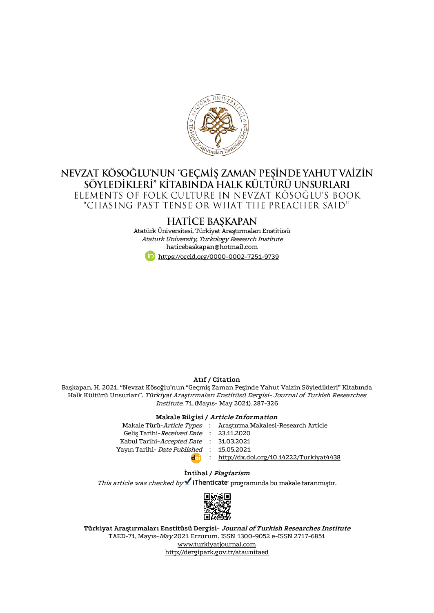

# NEVZAT KÖSOĞLU'NUN "GEÇMİŞ ZAMAN PEŞİNDE YAHUT VAİZİN SÖYLEDİKLERI" KİTABINDA HALK KÜLTÜRÜ UNSURLARI ELEMENTS OF FOLK CULTURE IN NEVZAT KÖSOĞLU'S BOOK "CHASING PAST TENSE OR WHAT THE PREACHER SAID"

## **HATICE BAŞKAPAN**

Atatürk Üniversitesi, Türkiyat Araştırmaları Enstitüsü Ataturk University, Turkology Research Institute [haticebaskapan@hotmail.com](mailto:haticebaskapan@hotmail.com) <https://orcid.org/0000-0002-7251-9739>

#### **Atıf / Citation**

Başkapan, H. 2021. "Nevzat Kösoğlu'nun "Geçmiş Zaman Peşinde Yahut Vaizin Söyledikleri" Kitabında Halk Kültürü Unsurları". Türkiyat Araştırmaları Enstitüsü Dergisi- Journal of Turkish Researches Institute. 71, (Mayıs- May 2021). 287-326

#### **Makale Bilgisi / Article Information**

| Makale Türü- <i>Article Types</i> : Arastırma Makalesi-Research Article |
|-------------------------------------------------------------------------|
| Gelis Tarihi-Received Date : 23.11.2020                                 |
| Kabul Tarihi-Accepted Date : 31.03.2021                                 |
| Yayın Tarihi- Date Published: 15.05.2021                                |
| : http://dx.doi.org/10.14222/Turkiyat4438                               |
|                                                                         |

#### **İntihal / Plagiarism**

This article was checked by  $\checkmark$  iThenticate programında bu makale taranmıştır.



**Türkiyat Araştırmaları Enstitüsü Dergisi- Journal of Turkish Researches Institute** TAED-71, Mayıs-May 2021 Erzurum. ISSN 1300-9052 e-ISSN 2717-6851 [www.turkiyatjournal.com](http://www.turkiyatjournal.com/) <http://dergipark.gov.tr/ataunitaed>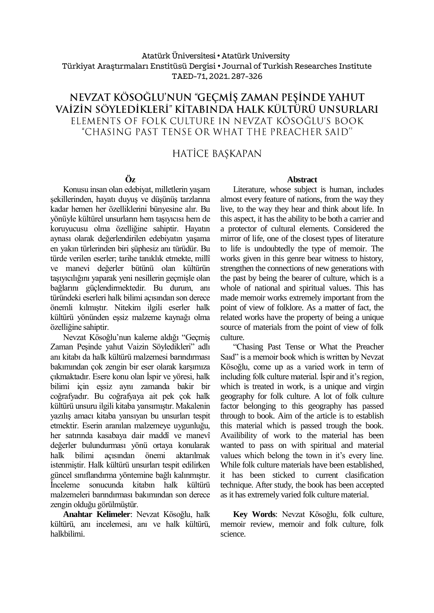#### Atatürk Üniversitesi• Atatürk University Türkiyat Araştırmaları Enstitüsü Dergisi • Journal of Turkish Researches Institute TAED-71, 2021.287-326

# NEVZAT KÖSOĞLU'NUN "GEÇMİŞ ZAMAN PEŞİNDE YAHUT VAİZİN SÖYLEDİKLERİ" KİTABINDA HALK KÜLTÜRÜ UNSURLARI ELEMENTS OF FOLK CULTURE IN NEVZAT KÖSOĞLU'S BOOK "CHASING PAST TENSE OR WHAT THE PREACHER SAID"

# **HATİCE BAŞKAPAN**

# **Öz**

Konusu insan olan edebiyat, milletlerin yaşam şekillerinden, hayatı duyuş ve düşünüş tarzlarına kadar hemen her özelliklerini bünyesine alır. Bu yönüyle kültürel unsurların hem taşıyıcısı hem de koruyucusu olma özelliğine sahiptir. Hayatın aynası olarak değerlendirilen edebiyatın yaşama en yakın türlerinden biri şüphesiz anı türüdür. Bu türde verilen eserler; tarihe tanıklık etmekte, millî ve manevi değerler bütünü olan kültürün taşıyıcılığını yaparak yeni nesillerin geçmişle olan bağlarını güçlendirmektedir. Bu durum, anı türündeki eserleri halk bilimi açısından son derece önemli kılmıştır. Nitekim ilgili eserler halk kültürü yönünden eşsiz malzeme kaynağı olma özelliğine sahiptir.

Nevzat Kösoğlu'nun kaleme aldığı "Geçmiş Zaman Peşinde yahut Vaizin Söyledikleri" adlı anı kitabı da halk kültürü malzemesi barındırması bakımından çok zengin bir eser olarak karşımıza çıkmaktadır. Esere konu olan İspir ve yöresi, halk bilimi için eşsiz aynı zamanda bakir bir coğrafyadır. Bu coğrafyaya ait pek çok halk kültürü unsuru ilgili kitaba yansımıştır. Makalenin yazılış amacı kitaba yansıyan bu unsurları tespit etmektir. Eserin aranılan malzemeye uygunluğu, her satırında kasabaya dair maddî ve manevî değerler bulundurması yönü ortaya konularak halk bilimi açısından önemi aktarılmak istenmiştir. Halk kültürü unsurları tespit edilirken güncel sınıflandırma yöntemine bağlı kalınmıştır. İnceleme sonucunda kitabın halk kültürü malzemeleri barındırması bakımından son derece zengin olduğu görülmüştür.

**Anahtar Kelimeler**: Nevzat Kösoğlu, halk kültürü, anı incelemesi, anı ve halk kültürü, halkbilimi.

#### **Abstract**

Literature, whose subject is human, includes almost every feature of nations, from the way they live, to the way they hear and think about life. In this aspect, it has the ability to be both a carrier and a protector of cultural elements. Considered the mirror of life, one of the closest types of literature to life is undoubtedly the type of memoir. The works given in this genre bear witness to history, strengthen the connections of new generations with the past by being the bearer of culture, which is a whole of national and spiritual values. This has made memoir works extremely important from the point of view of folklore. As a matter of fact, the related works have the property of being a unique source of materials from the point of view of folk culture.

"Chasing Past Tense or What the Preacher Saıd" is a memoir book which is written by Nevzat Kösoğlu, come up as a varied work in term of including folk culture material. İspir and it's region, which is treated in work, is a unique and virgin geography for folk culture. A lot of folk culture factor belonging to this geography has passed through to book. Aim of the article is to establish this material which is passed trough the book. Availibility of work to the material has been wanted to pass on with spiritual and material values which belong the town in it's every line. While folk culture materials have been established, it has been sticked to current clasification technique. After study, the book has been accepted as it has extremely varied folk culture material.

**Key Words**: Nevzat Kösoğlu, folk culture, memoir review, memoir and folk culture, folk science.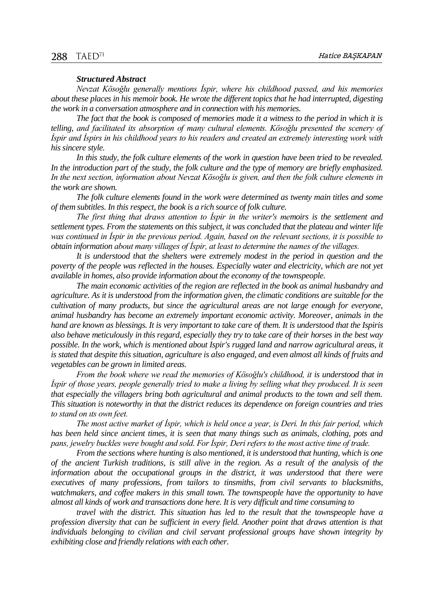#### *Structured Abstract*

*Nevzat Kösoğlu generally mentions İspir, where his childhood passed, and his memories about these places in his memoir book. He wrote the different topics that he had interrupted, digesting the work in a conversation atmosphere and in connection with his memories.*

*The fact that the book is composed of memories made it a witness to the period in which it is telling, and facilitated its absorption of many cultural elements. Kösoğlu presented the scenery of İspir and İspirs in his childhood years to his readers and created an extremely interesting work with his sincere style.*

*In this study, the folk culture elements of the work in question have been tried to be revealed.*  In the introduction part of the study, the folk culture and the type of memory are briefly emphasized. *In the next section, information about Nevzat Kösoğlu is given, and then the folk culture elements in the work are shown.*

*The folk culture elements found in the work were determined as twenty main titles and some of them subtitles. In this respect, the book is a rich source of folk culture.*

*The first thing that draws attention to İspir in the writer's memoirs is the settlement and settlement types. From the statements on this subject, it was concluded that the plateau and winter life was continued in İspir in the previous period. Again, based on the relevant sections, it is possible to obtain information about many villages of İspir, at least to determine the names of the villages.*

*It is understood that the shelters were extremely modest in the period in question and the poverty of the people was reflected in the houses. Especially water and electricity, which are not yet available in homes, also provide information about the economy of the townspeople.*

*The main economic activities of the region are reflected in the book as animal husbandry and agriculture. As it is understood from the information given, the climatic conditions are suitable for the cultivation of many products, but since the agricultural areas are not large enough for everyone, animal husbandry has become an extremely important economic activity. Moreover, animals in the hand are known as blessings. It is very important to take care of them. It is understood that the Ispiris also behave meticulously in this regard, especially they try to take care of their horses in the best way possible. In the work, which is mentioned about Ispir's rugged land and narrow agricultural areas, it is stated that despite this situation, agriculture is also engaged, and even almost all kinds of fruits and vegetables can be grown in limited areas.*

*From the book where we read the memories of Kösoğlu's childhood, it is understood that in İspir of those years, people generally tried to make a living by selling what they produced. It is seen that especially the villagers bring both agricultural and animal products to the town and sell them. This situation is noteworthy in that the district reduces its dependence on foreign countries and tries to stand on ıts own feet.*

*The most active market of İspir, which is held once a year, is Deri. In this fair period, which has been held since ancient times, it is seen that many things such as animals, clothing, pots and pans, jewelry buckles were bought and sold. For İspir, Deri refers to the most active time of trade.*

*From the sections where hunting is also mentioned, it is understood that hunting, which is one of the ancient Turkish traditions, is still alive in the region. As a result of the analysis of the information about the occupational groups in the district, it was understood that there were executives of many professions, from tailors to tinsmiths, from civil servants to blacksmiths, watchmakers, and coffee makers in this small town. The townspeople have the opportunity to have almost all kinds of work and transactions done here. It is very difficult and time consuming to*

*travel with the district. This situation has led to the result that the townspeople have a profession diversity that can be sufficient in every field. Another point that draws attention is that individuals belonging to civilian and civil servant professional groups have shown integrity by exhibiting close and friendly relations with each other.*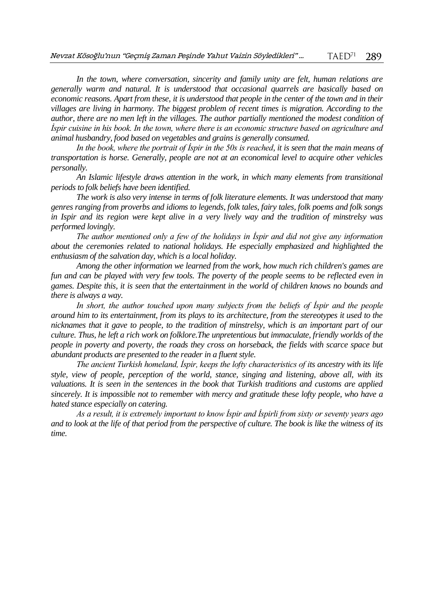In the town, where conversation, sincerity and family unity are felt, human relations are *generally warm and natural. It is understood that occasional quarrels are basically based on economic reasons. Apart from these, it is understood that people in the center of the town and in their villages are living in harmony. The biggest problem of recent times is migration. According to the author, there are no men left in the villages. The author partially mentioned the modest condition of İspir cuisine in his book. In the town, where there is an economic structure based on agriculture and animal husbandry, food based on vegetables and grains is generally consumed.*

*In the book, where the portrait of İspir in the 50s is reached, it is seen that the main means of transportation is horse. Generally, people are not at an economical level to acquire other vehicles personally.*

*An Islamic lifestyle draws attention in the work, in which many elements from transitional periods to folk beliefs have been identified.*

*The work is also very intense in terms of folk literature elements. It was understood that many genres ranging from proverbs and idioms to legends, folk tales, fairy tales, folk poems and folk songs in Ispir and its region were kept alive in a very lively way and the tradition of minstrelsy was performed lovingly.*

*The author mentioned only a few of the holidays in İspir and did not give any information about the ceremonies related to national holidays. He especially emphasized and highlighted the enthusiasm of the salvation day, which is a local holiday.*

*Among the other information we learned from the work, how much rich children's games are fun and can be played with very few tools. The poverty of the people seems to be reflected even in games. Despite this, it is seen that the entertainment in the world of children knows no bounds and there is always a way.*

In short, the author touched upon many subjects from the beliefs of *Ispir* and the people *around him to its entertainment, from its plays to its architecture, from the stereotypes it used to the nicknames that it gave to people, to the tradition of minstrelsy, which is an important part of our culture. Thus, he left a rich work on folklore.The unpretentious but immaculate, friendly worlds of the people in poverty and poverty, the roads they cross on horseback, the fields with scarce space but abundant products are presented to the reader in a fluent style.*

*The ancient Turkish homeland, İspir, keeps the lofty characteristics of its ancestry with its life style, view of people, perception of the world, stance, singing and listening, above all, with its valuations. It is seen in the sentences in the book that Turkish traditions and customs are applied sincerely. It is impossible not to remember with mercy and gratitude these lofty people, who have a hated stance especially on catering.*

*As a result, it is extremely important to know İspir and İspirli from sixty or seventy years ago and to look at the life of that period from the perspective of culture. The book is like the witness of its time.*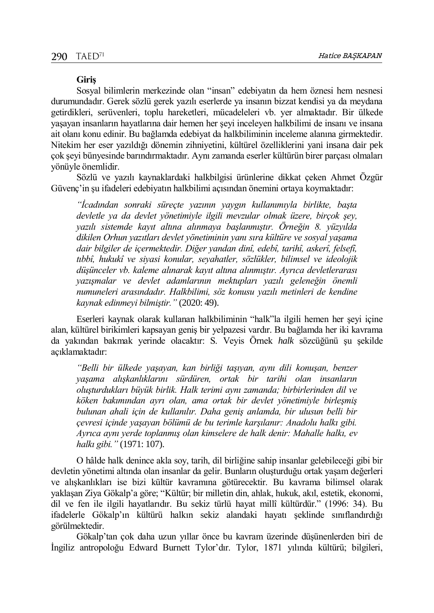#### **Giriş**

Sosyal bilimlerin merkezinde olan "insan" edebiyatın da hem öznesi hem nesnesi durumundadır. Gerek sözlü gerek yazılı eserlerde ya insanın bizzat kendisi ya da meydana getirdikleri, serüvenleri, toplu hareketleri, mücadeleleri vb. yer almaktadır. Bir ülkede yaşayan insanların hayatlarına dair hemen her şeyi inceleyen halkbilimi de insanı ve insana ait olanı konu edinir. Bu bağlamda edebiyat da halkbiliminin inceleme alanına girmektedir. Nitekim her eser yazıldığı dönemin zihniyetini, kültürel özelliklerini yani insana dair pek çok şeyi bünyesinde barındırmaktadır. Aynı zamanda eserler kültürün birer parçası olmaları yönüyle önemlidir.

Sözlü ve yazılı kaynaklardaki halkbilgisi ürünlerine dikkat çeken Ahmet Özgür Güvenç'in şu ifadeleri edebiyatın halkbilimi açısından önemini ortaya koymaktadır:

*"İcadından sonraki süreçte yazının yaygın kullanımıyla birlikte, başta devletle ya da devlet yönetimiyle ilgili mevzular olmak üzere, birçok şey, yazılı sistemde kayıt altına alınmaya başlanmıştır. Örneğin 8. yüzyılda dikilen Orhun yazıtları devlet yönetiminin yanı sıra kültüre ve sosyal yaşama dair bilgiler de içermektedir. Diğer yandan dinî, edebî, tarihî, askerî, felsefî, tıbbî, hukukî ve siyasi konular, seyahatler, sözlükler, bilimsel ve ideolojik düşünceler vb. kaleme alınarak kayıt altına alınmıştır. Ayrıca devletlerarası yazışmalar ve devlet adamlarının mektupları yazılı geleneğin önemli numuneleri arasındadır. Halkbilimi, söz konusu yazılı metinleri de kendine kaynak edinmeyi bilmiştir."* (2020: 49).

Eserleri kaynak olarak kullanan halkbiliminin "halk"la ilgili hemen her şeyi içine alan, kültürel birikimleri kapsayan geniş bir yelpazesi vardır. Bu bağlamda her iki kavrama da yakından bakmak yerinde olacaktır: S. Veyis Örnek *halk* sözcüğünü şu şekilde açıklamaktadır:

*"Belli bir ülkede yaşayan, kan birliği taşıyan, aynı dili konuşan, benzer yaşama alışkanlıklarını sürdüren, ortak bir tarihi olan insanların oluşturdukları büyük birlik. Halk terimi aynı zamanda; birbirlerinden dil ve köken bakımından ayrı olan, ama ortak bir devlet yönetimiyle birleşmiş bulunan ahali için de kullanılır. Daha geniş anlamda, bir ulusun belli bir çevresi içinde yaşayan bölümü de bu terimle karşılanır: Anadolu halkı gibi. Ayrıca aynı yerde toplanmış olan kimselere de halk denir: Mahalle halkı, ev halkı gibi."* (1971: 107).

O hâlde halk denince akla soy, tarih, dil birliğine sahip insanlar gelebileceği gibi bir devletin yönetimi altında olan insanlar da gelir. Bunların oluşturduğu ortak yaşam değerleri ve alışkanlıkları ise bizi kültür kavramına götürecektir. Bu kavrama bilimsel olarak yaklaşan Ziya Gökalp'a göre; "Kültür; bir milletin din, ahlak, hukuk, akıl, estetik, ekonomi, dil ve fen ile ilgili hayatlarıdır. Bu sekiz türlü hayat millî kültürdür." (1996: 34). Bu ifadelerle Gökalp'ın kültürü halkın sekiz alandaki hayatı şeklinde sınıflandırdığı görülmektedir.

Gökalp'tan çok daha uzun yıllar önce bu kavram üzerinde düşünenlerden biri de İngiliz antropoloğu Edward Burnett Tylor'dır. Tylor, 1871 yılında kültürü; bilgileri,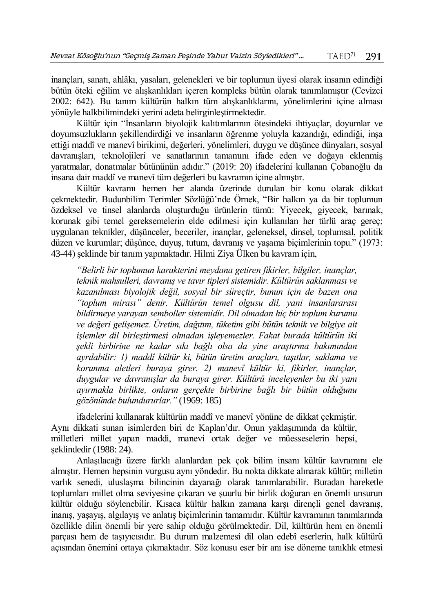inançları, sanatı, ahlâkı, yasaları, gelenekleri ve bir toplumun üyesi olarak insanın edindiği bütün öteki eğilim ve alışkanlıkları içeren kompleks bütün olarak tanımlamıştır (Cevizci 2002: 642). Bu tanım kültürün halkın tüm alışkanlıklarını, yönelimlerini içine alması yönüyle halkbilimindeki yerini adeta belirginleştirmektedir.

Kültür için "İnsanların biyolojik kalıtımlarının ötesindeki ihtiyaçlar, doyumlar ve doyumsuzlukların şekillendirdiği ve insanların öğrenme yoluyla kazandığı, edindiği, inşa ettiği maddî ve manevî birikimi, değerleri, yönelimleri, duygu ve düşünce dünyaları, sosyal davranışları, teknolojileri ve sanatlarının tamamını ifade eden ve doğaya eklenmiş yaratmalar, donatmalar bütününün adıdır." (2019: 20) ifadelerini kullanan Çobanoğlu da insana dair maddî ve manevî tüm değerleri bu kavramın içine almıştır.

Kültür kavramı hemen her alanda üzerinde durulan bir konu olarak dikkat çekmektedir. Budunbilim Terimler Sözlüğü'nde Örnek, "Bir halkın ya da bir toplumun özdeksel ve tinsel alanlarda oluşturduğu ürünlerin tümü: Yiyecek, giyecek, barınak, korunak gibi temel gereksemelerin elde edilmesi için kullanılan her türlü araç gereç; uygulanan teknikler, düşünceler, beceriler, inançlar, geleneksel, dinsel, toplumsal, politik düzen ve kurumlar; düşünce, duyuş, tutum, davranış ve yaşama biçimlerinin topu." (1973: 43-44) şeklinde bir tanım yapmaktadır. Hilmi Ziya Ülken bu kavram için,

*"Belirli bir toplumun karakterini meydana getiren fikirler, bilgiler, inançlar, teknik mahsulleri, davranış ve tavır tipleri sistemidir. Kültürün saklanması ve kazanılması biyolojik değil, sosyal bir süreçtir, bunun için de bazen ona "toplum mirası" denir. Kültürün temel olgusu dil, yani insanlararası bildirmeye yarayan semboller sistemidir. Dil olmadan hiç bir toplum kurumu ve değeri gelişemez. Üretim, dağıtım, tüketim gibi bütün teknik ve bilgiye ait işlemler dil birleştirmesi olmadan işleyemezler. Fakat burada kültürün iki şekli birbirine ne kadar sıkı bağlı olsa da yine araştırma bakımından ayrılabilir: 1) maddî kültür ki, bütün üretim araçları, taşıtlar, saklama ve korunma aletleri buraya girer. 2) manevî kültür ki, fikirler, inançlar, duygular ve davranışlar da buraya girer. Kültürü inceleyenler bu iki yanı ayırmakla birlikte, onların gerçekte birbirine bağlı bir bütün olduğunu gözönünde bulundururlar."* (1969: 185)

ifadelerini kullanarak kültürün maddî ve manevî yönüne de dikkat çekmiştir. Aynı dikkati sunan isimlerden biri de Kaplan'dır. Onun yaklaşımında da kültür, milletleri millet yapan maddi, manevi ortak değer ve müesseselerin hepsi, şeklindedir (1988: 24).

Anlaşılacağı üzere farklı alanlardan pek çok bilim insanı kültür kavramını ele almıştır. Hemen hepsinin vurgusu aynı yöndedir. Bu nokta dikkate alınarak kültür; milletin varlık senedi, uluslaşma bilincinin dayanağı olarak tanımlanabilir. Buradan hareketle toplumları millet olma seviyesine çıkaran ve şuurlu bir birlik doğuran en önemli unsurun kültür olduğu söylenebilir. Kısaca kültür halkın zamana karşı dirençli genel davranış, inanış, yaşayış, algılayış ve anlatış biçimlerinin tamamıdır. Kültür kavramının tanımlarında özellikle dilin önemli bir yere sahip olduğu görülmektedir. Dil, kültürün hem en önemli parçası hem de taşıyıcısıdır. Bu durum malzemesi dil olan edebî eserlerin, halk kültürü açısından önemini ortaya çıkmaktadır. Söz konusu eser bir anı ise döneme tanıklık etmesi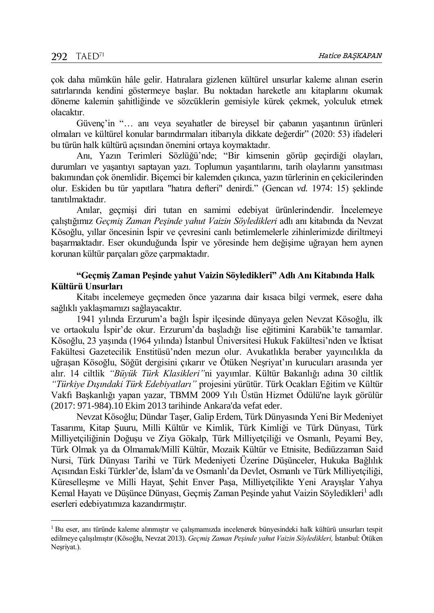$\overline{a}$ 

çok daha mümkün hâle gelir. Hatıralara gizlenen kültürel unsurlar kaleme alınan eserin satırlarında kendini göstermeye başlar. Bu noktadan hareketle anı kitaplarını okumak döneme kalemin şahitliğinde ve sözcüklerin gemisiyle kürek çekmek, yolculuk etmek olacaktır.

Güvenç'in "… anı veya seyahatler de bireysel bir çabanın yaşantının ürünleri olmaları ve kültürel konular barındırmaları itibarıyla dikkate değerdir" (2020: 53) ifadeleri bu türün halk kültürü açısından önemini ortaya koymaktadır.

Anı, Yazın Terimleri Sözlüğü'nde; "Bir kimsenin görüp geçirdiği olayları, durumları ve yaşantıyı saptayan yazı. Toplumun yaşantılarını, tarih olaylarını yansıtması bakımından çok önemlidir. Biçemci bir kalemden çıkınca, yazın türlerinin en çekicilerinden olur. Eskiden bu tür yapıtlara "hatıra defteri" denirdi." (Gencan *vd.* 1974: 15) şeklinde tanıtılmaktadır.

Anılar, geçmişi diri tutan en samimi edebiyat ürünlerindendir. İncelemeye çalıştığımız *Geçmiş Zaman Peşinde yahut Vaizin Söyledikleri* adlı anı kitabında da Nevzat Kösoğlu, yıllar öncesinin İspir ve çevresini canlı betimlemelerle zihinlerimizde diriltmeyi başarmaktadır. Eser okunduğunda İspir ve yöresinde hem değişime uğrayan hem aynen korunan kültür parçaları göze çarpmaktadır.

## **"Geçmiş Zaman Peşinde yahut Vaizin Söyledikleri" Adlı Anı Kitabında Halk Kültürü Unsurları**

Kitabı incelemeye geçmeden önce yazarına dair kısaca bilgi vermek, esere daha sağlıklı yaklaşmamızı sağlayacaktır.

1941 yılında Erzurum'a bağlı İspir ilçesinde dünyaya gelen Nevzat Kösoğlu, ilk ve ortaokulu İspir'de okur. Erzurum'da başladığı lise eğitimini Karabük'te tamamlar. Kösoğlu, 23 yaşında (1964 yılında) İstanbul Üniversitesi Hukuk Fakültesi'nden ve İktisat Fakültesi Gazetecilik Enstitüsü'nden mezun olur. Avukatlıkla beraber yayıncılıkla da uğraşan Kösoğlu, Söğüt dergisini çıkarır ve Ötüken Neşriyat'ın kurucuları arasında yer alır. 14 ciltlik *"Büyük Türk Klasikleri"*ni yayımlar. Kültür Bakanlığı adına 30 ciltlik *"Türkiye Dışındaki Türk Edebiyatları"* projesini yürütür. Türk Ocakları Eğitim ve Kültür Vakfı Başkanlığı yapan yazar, TBMM 2009 Yılı Üstün Hizmet Ödülü'ne layık görülür (2017: 971-984).10 Ekim 2013 tarihinde Ankara'da vefat eder.

Nevzat Kösoğlu; Dündar Taşer, Galip Erdem, Türk Dünyasında Yeni Bir Medeniyet Tasarımı, Kitap Şuuru, Milli Kültür ve Kimlik, Türk Kimliği ve Türk Dünyası, Türk Milliyetçiliğinin Doğuşu ve Ziya Gökalp, Türk Milliyetçiliği ve Osmanlı, Peyami Bey, Türk Olmak ya da Olmamak/Millî Kültür, Mozaik Kültür ve Etnisite, Bediüzzaman Said Nursi, Türk Dünyası Tarihi ve Türk Medeniyeti Üzerine Düşünceler, Hukuka Bağlılık Açısından Eski Türkler'de, İslam'da ve Osmanlı'da Devlet, Osmanlı ve Türk Milliyetçiliği, Küreselleşme ve Milli Hayat, Şehit Enver Paşa, Milliyetçilikte Yeni Arayışlar Yahya Kemal Hayatı ve Düşünce Dünyası, Geçmiş Zaman Peşinde yahut Vaizin Söyledikleri<sup>1</sup> adlı eserleri edebiyatımıza kazandırmıştır.

<sup>1</sup> Bu eser, anı türünde kaleme alınmıştır ve çalışmamızda incelenerek bünyesindeki halk kültürü unsurları tespit edilmeye çalışılmıştır (Kösoğlu, Nevzat 2013). *Geçmiş Zaman Peşinde yahut Vaizin Söyledikleri,* İstanbul: Ötüken Neşriyat.).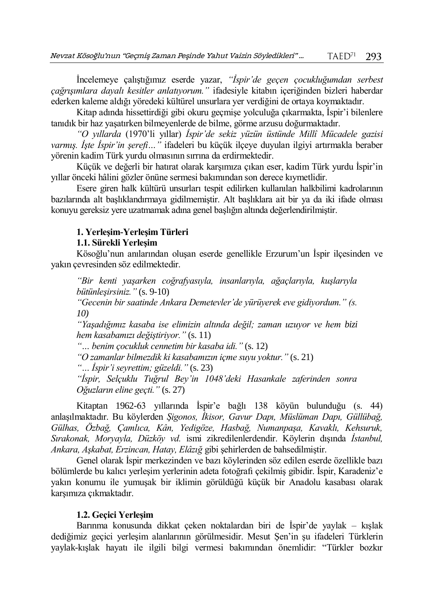İncelemeye çalıştığımız eserde yazar, *"İspir'de geçen çocukluğumdan serbest çağrışımlara dayalı kesitler anlatıyorum."* ifadesiyle kitabın içeriğinden bizleri haberdar ederken kaleme aldığı yöredeki kültürel unsurlara yer verdiğini de ortaya koymaktadır.

Kitap adında hissettirdiği gibi okuru geçmişe yolculuğa çıkarmakta, İspir'i bilenlere tanıdık bir haz yaşatırken bilmeyenlerde de bilme, görme arzusu doğurmaktadır.

*"O yıllarda* (1970'li yıllar) *İspir'de sekiz yüzün üstünde Millî Mücadele gazisi varmış. İşte İspir'in şerefi…"* ifadeleri bu küçük ilçeye duyulan ilgiyi artırmakla beraber yörenin kadim Türk yurdu olmasının sırrına da erdirmektedir.

Küçük ve değerli bir hatırat olarak karşımıza çıkan eser, kadim Türk yurdu İspir'in yıllar önceki hâlini gözler önüne sermesi bakımından son derece kıymetlidir.

Esere giren halk kültürü unsurları tespit edilirken kullanılan halkbilimi kadrolarının bazılarında alt başlıklandırmaya gidilmemiştir. Alt başlıklara ait bir ya da iki ifade olması konuyu gereksiz yere uzatmamak adına genel başlığın altında değerlendirilmiştir.

# **1. Yerleşim-Yerleşim Türleri**

## **1.1. Sürekli Yerleşim**

Kösoğlu'nun anılarından oluşan eserde genellikle Erzurum'un İspir ilçesinden ve yakın çevresinden söz edilmektedir.

*"Bir kenti yaşarken coğrafyasıyla, insanlarıyla, ağaçlarıyla, kuşlarıyla bütünleşirsiniz."* (s. 9-10)

*"Gecenin bir saatinde Ankara Demetevler'de yürüyerek eve gidiyordum." (s. 10)*

*"Yaşadığımız kasaba ise elimizin altında değil; zaman uzuyor ve hem bizi hem kasabamızı değiştiriyor."* (s. 11)

*"… benim çocukluk cennetim bir kasaba idi."* (s. 12)

*"O zamanlar bilmezdik ki kasabamızın içme suyu yoktur."* (s. 21)

*"… İspir'i seyrettim; güzeldi."* (s. 23)

*"İspir, Selçuklu Tuğrul Bey'in 1048'deki Hasankale zaferinden sonra Oğuzların eline geçti."* (s. 27)

Kitaptan 1962-63 yıllarında İspir'e bağlı 138 köyün bulunduğu (s. 44) anlaşılmaktadır. Bu köylerden *Şigonos, İkisor, Gavur Dapı, Müslüman Dapı, Güllübağ, Gülhas, Özbağ, Çamlıca, Kân, Yedigöze, Hasbağ, Numanpaşa, Kavaklı, Kehsuruk, Sırakonak, Moryayla, Düzköy vd.* ismi zikredilenlerdendir. Köylerin dışında *İstanbul, Ankara, Aşkabat, Erzincan, Hatay, Elâzığ* gibi şehirlerden de bahsedilmiştir.

Genel olarak İspir merkezinden ve bazı köylerinden söz edilen eserde özellikle bazı bölümlerde bu kalıcı yerleşim yerlerinin adeta fotoğrafı çekilmiş gibidir. İspir, Karadeniz'e yakın konumu ile yumuşak bir iklimin görüldüğü küçük bir Anadolu kasabası olarak karşımıza çıkmaktadır.

# **1.2. Geçici Yerleşim**

Barınma konusunda dikkat çeken noktalardan biri de İspir'de yaylak – kışlak dediğimiz geçici yerleşim alanlarının görülmesidir. Mesut Şen'in şu ifadeleri Türklerin yaylak-kışlak hayatı ile ilgili bilgi vermesi bakımından önemlidir: "Türkler bozkır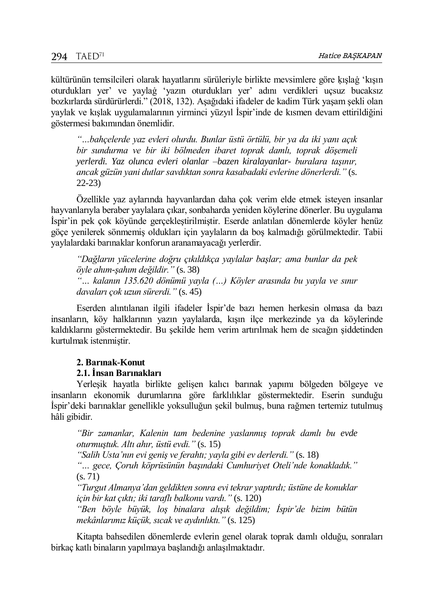kültürünün temsilcileri olarak hayatlarını sürüleriyle birlikte mevsimlere göre ḳışlaġ 'kışın oturdukları yer' ve yaylaġ 'yazın oturdukları yer' adını verdikleri uçsuz bucaksız bozkırlarda sürdürürlerdi." (2018, 132). Aşağıdaki ifadeler de kadim Türk yaşam şekli olan yaylak ve kışlak uygulamalarının yirminci yüzyıl İspir'inde de kısmen devam ettirildiğini göstermesi bakımından önemlidir.

*"…bahçelerde yaz evleri olurdu. Bunlar üstü örtülü, bir ya da iki yanı açık bir sundurma ve bir iki bölmeden ibaret toprak damlı, toprak döşemeli yerlerdi. Yaz olunca evleri olanlar –bazen kiralayanlar- buralara taşınır, ancak güzün yani dutlar savdıktan sonra kasabadaki evlerine dönerlerdi."* (s. 22-23)

Özellikle yaz aylarında hayvanlardan daha çok verim elde etmek isteyen insanlar hayvanlarıyla beraber yaylalara çıkar, sonbaharda yeniden köylerine dönerler. Bu uygulama İspir'in pek çok köyünde gerçekleştirilmiştir. Eserde anlatılan dönemlerde köyler henüz göçe yenilerek sönmemiş oldukları için yaylaların da boş kalmadığı görülmektedir. Tabii yaylalardaki barınaklar konforun aranamayacağı yerlerdir.

*"Dağların yücelerine doğru çıkıldıkça yaylalar başlar; ama bunlar da pek öyle ahım-şahım değildir."* (s. 38) *"… kalanın 135.620 dönümü yayla (…) Köyler arasında bu yayla ve sınır davaları çok uzun sürerdi."* (s. 45)

Eserden alıntılanan ilgili ifadeler İspir'de bazı hemen herkesin olmasa da bazı insanların, köy halklarının yazın yaylalarda, kışın ilçe merkezinde ya da köylerinde kaldıklarını göstermektedir. Bu şekilde hem verim artırılmak hem de sıcağın şiddetinden kurtulmak istenmiştir.

## **2. Barınak-Konut**

# **2.1. İnsan Barınakları**

Yerleşik hayatla birlikte gelişen kalıcı barınak yapımı bölgeden bölgeye ve insanların ekonomik durumlarına göre farklılıklar göstermektedir. Eserin sunduğu İspir'deki barınaklar genellikle yoksulluğun şekil bulmuş, buna rağmen tertemiz tutulmuş hâli gibidir.

*"Bir zamanlar, Kalenin tam bedenine yaslanmış toprak damlı bu evde oturmuştuk. Altı ahır, üstü evdi."* (s. 15)

*"Salih Usta'nın evi geniş ve ferahtı; yayla gibi ev derlerdi."* (s. 18)

*"… gece, Çoruh köprüsünün başındaki Cumhuriyet Oteli'nde konakladık."*  (s. 71)

*"Turgut Almanya'dan geldikten sonra evi tekrar yaptırdı; üstüne de konuklar için bir kat çıktı; iki taraflı balkonu vardı."* (s. 120)

*"Ben böyle büyük, loş binalara alışık değildim; İspir'de bizim bütün mekânlarımız küçük, sıcak ve aydınlıktı."* (s. 125)

Kitapta bahsedilen dönemlerde evlerin genel olarak toprak damlı olduğu, sonraları birkaç katlı binaların yapılmaya başlandığı anlaşılmaktadır.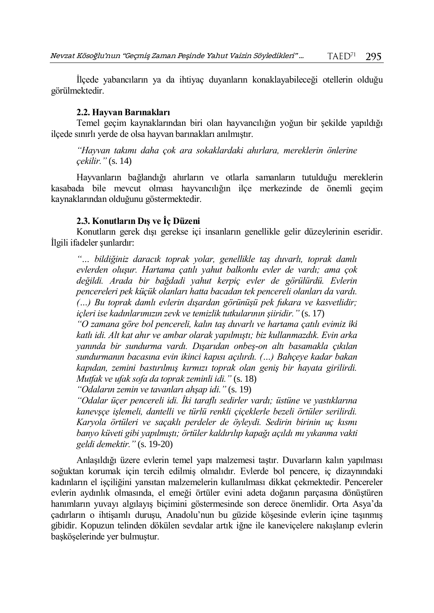İlçede yabancıların ya da ihtiyaç duyanların konaklayabileceği otellerin olduğu görülmektedir.

#### **2.2. Hayvan Barınakları**

Temel geçim kaynaklarından biri olan hayvancılığın yoğun bir şekilde yapıldığı ilçede sınırlı yerde de olsa hayvan barınakları anılmıştır.

*"Hayvan takımı daha çok ara sokaklardaki ahırlara, mereklerin önlerine çekilir."* (s. 14)

Hayvanların bağlandığı ahırların ve otlarla samanların tutulduğu mereklerin kasabada bile mevcut olması hayvancılığın ilçe merkezinde de önemli geçim kaynaklarından olduğunu göstermektedir.

#### **2.3. Konutların Dış ve İç Düzeni**

Konutların gerek dışı gerekse içi insanların genellikle gelir düzeylerinin eseridir. İlgili ifadeler şunlardır:

*"… bildiğiniz daracık toprak yolar, genellikle taş duvarlı, toprak damlı evlerden oluşur. Hartama çatılı yahut balkonlu evler de vardı; ama çok değildi. Arada bir bağdadi yahut kerpiç evler de görülürdü. Evlerin pencereleri pek küçük olanları hatta bacadan tek pencereli olanları da vardı. (…) Bu toprak damlı evlerin dışardan görünüşü pek fukara ve kasvetlidir; içleri ise kadınlarımızın zevk ve temizlik tutkularının şiiridir."* (s. 17)

*"O zamana göre bol pencereli, kalın taş duvarlı ve hartama çatılı evimiz iki katlı idi. Alt kat ahır ve ambar olarak yapılmıştı; biz kullanmazdık. Evin arka yanında bir sundurma vardı. Dışarıdan onbeş-on altı basamakla çıkılan sundurmanın bacasına evin ikinci kapısı açılırdı. (…) Bahçeye kadar bakan kapıdan, zemini bastırılmış kırmızı toprak olan geniş bir hayata girilirdi. Mutfak ve ufak sofa da toprak zeminli idi."* (s. 18)

*"Odaların zemin ve tavanları ahşap idi."* (s. 19)

*"Odalar üçer pencereli idi. İki taraflı sedirler vardı; üstüne ve yastıklarına kanevşçe işlemeli, dantelli ve türlü renkli çiçeklerle bezeli örtüler serilirdi. Karyola örtüleri ve saçaklı perdeler de öyleydi. Sedirin birinin uç kısmı banyo küveti gibi yapılmıştı; örtüler kaldırılıp kapağı açıldı mı yıkanma vakti geldi demektir."* (s. 19-20)

Anlaşıldığı üzere evlerin temel yapı malzemesi taştır. Duvarların kalın yapılması soğuktan korumak için tercih edilmiş olmalıdır. Evlerde bol pencere, iç dizaynındaki kadınların el işçiliğini yansıtan malzemelerin kullanılması dikkat çekmektedir. Pencereler evlerin aydınlık olmasında, el emeği örtüler evini adeta doğanın parçasına dönüştüren hanımların yuvayı algılayış biçimini göstermesinde son derece önemlidir. Orta Asya'da çadırların o ihtişamlı duruşu, Anadolu'nun bu güzide köşesinde evlerin içine taşınmış gibidir. Kopuzun telinden dökülen sevdalar artık iğne ile kaneviçelere nakışlanıp evlerin başköşelerinde yer bulmuştur.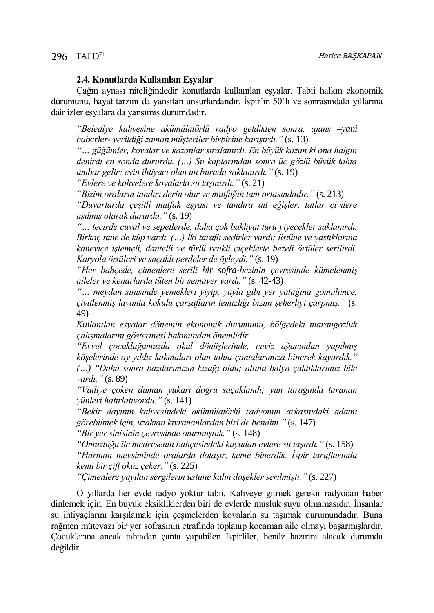#### **2.4. Konutlarda Kullanılan Eşyalar**

Çağın aynası niteliğindedir konutlarda kullanılan eşyalar. Tabii halkın ekonomik durumunu, hayat tarzını da yansıtan unsurlardandır. İspir'in 50'li ve sonrasındaki yıllarına dair izler eşyalara da yansımış durumdadır.

*"Belediye kahvesine akümülatörlü radyo geldikten sonra, ajans –yani haberler- verildiği zaman müşteriler birbirine karışırdı."* (s. 13)

*"… güğümler, kovalar ve kazanlar sıralanırdı. En büyük kazan ki ona halgin denirdi en sonda dururdu. (…) Su kaplarından sonra üç gözlü büyük tahta ambar gelir; evin ihtiyacı olan un burada saklanırdı."* (s. 19)

*"Evlere ve kahvelere kovalarla su taşınırdı."* (s. 21)

*"Bizim oraların tandırı derin olur ve mutfağın tam ortasındadır."* (s. 213)

*"Duvarlarda çeşitli mutfak eşyası ve tandıra ait eğişler, tatlar çivilere asılmış olarak dururdu."* (s. 19)

*"… tecirde çuval ve sepetlerde, daha çok bakliyat türü yiyecekler saklanırdı. Birkaç tane de küp vardı. (…) İki taraflı sedirler vardı; üstüne ve yastıklarına kaneviçe işlemeli, dantelli ve türlü renkli çiçeklerle bezeli örtüler serilirdi. Karyola örtüleri ve saçaklı perdeler de öyleydi."* (s. 19)

*"Her bahçede, çimenlere serili bir sofra-bezinin çevresinde kümelenmiş aileler ve kenarlarda tüten bir semaver vardı."* (s. 42-43)

*"… meydan sinisinde yemekleri yiyip, yayla gibi yer yatağına gömülünce, çivitlenmiş lavanta kokulu çarşafların temizliği bizim şeherliyi çarpmış."* (s. 49)

*Kullanılan eşyalar dönemin ekonomik durumunu, bölgedeki marangozluk çalışmalarını göstermesi bakımından önemlidir.*

*"Evvel çocukluğumuzda okul dönüşlerinde, ceviz ağacından yapılmış köşelerinde ay yıldız kakmaları olan tahta çantalarımıza binerek kayardık." (…) "Daha sonra bazılarımızın kızağı oldu; altına balya çaktıklarımız bile* 

*vardı."* (s. 89)

*"Vadiye çöken duman yukarı doğru saçaklandı; yün tarağında taranan yünleri hatırlatıyordu."* (s. 141)

*"Bekir dayının kahvesindeki akümülatörlü radyonun arkasındaki adamı görebilmek için, uzaktan kıvrananlardan biri de bendim."* (s. 147)

*"Bir yer sinisinin çevresinde oturmuştuk."* (s. 148)

*"Omuzluğu ile medresenin bahçesindeki kuyudan evlere su taşırdı."* (s. 158) *"Harman mevsiminde oralarda dolaşır, keme binerdik. İspir taraflarında kemi bir çift öküz çeker."* (s. 225)

*"Çimenlere yayılan sergilerin üstüne kalın döşekler serilmişti."* (s. 227)

O yıllarda her evde radyo yoktur tabii. Kahveye gitmek gerekir radyodan haber dinlemek için. En büyük eksikliklerden biri de evlerde musluk suyu olmamasıdır. İnsanlar su ihtiyaçlarını karşılamak için çeşmelerden kovalarla su taşımak durumundadır. Buna rağmen mütevazı bir yer sofrasının etrafında toplanıp kocaman aile olmayı başarmışlardır. Çocuklarına ancak tahtadan çanta yapabilen İspirliler, henüz hazırını alacak durumda değildir.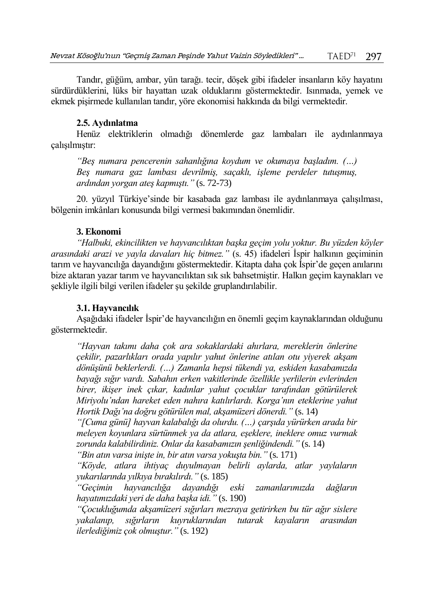Tandır, güğüm, ambar, yün tarağı. tecir, döşek gibi ifadeler insanların köy hayatını sürdürdüklerini, lüks bir hayattan uzak olduklarını göstermektedir. Isınmada, yemek ve ekmek pişirmede kullanılan tandır, yöre ekonomisi hakkında da bilgi vermektedir.

#### **2.5. Aydınlatma**

Henüz elektriklerin olmadığı dönemlerde gaz lambaları ile aydınlanmaya çalışılmıştır:

*"Beş numara pencerenin sahanlığına koydum ve okumaya başladım. (…) Beş numara gaz lambası devrilmiş, saçaklı, işleme perdeler tutuşmuş, ardından yorgan ateş kapmıştı."* (s. 72-73)

20. yüzyıl Türkiye'sinde bir kasabada gaz lambası ile aydınlanmaya çalışılması, bölgenin imkânları konusunda bilgi vermesi bakımından önemlidir.

#### **3. Ekonomi**

*"Halbuki, ekincilikten ve hayvancılıktan başka geçim yolu yoktur. Bu yüzden köyler arasındaki arazi ve yayla davaları hiç bitmez."* (s. 45) ifadeleri İspir halkının geçiminin tarım ve hayvancılığa dayandığını göstermektedir. Kitapta daha çok İspir'de geçen anılarını bize aktaran yazar tarım ve hayvancılıktan sık sık bahsetmiştir. Halkın geçim kaynakları ve şekliyle ilgili bilgi verilen ifadeler şu şekilde gruplandırılabilir.

#### **3.1. Hayvancılık**

Aşağıdaki ifadeler İspir'de hayvancılığın en önemli geçim kaynaklarından olduğunu göstermektedir.

*"Hayvan takımı daha çok ara sokaklardaki ahırlara, mereklerin önlerine çekilir, pazarlıkları orada yapılır yahut önlerine atılan otu yiyerek akşam dönüşünü beklerlerdi. (…) Zamanla hepsi tükendi ya, eskiden kasabamızda bayağı sığır vardı. Sabahın erken vakitlerinde özellikle yerlilerin evlerinden birer, ikişer inek çıkar, kadınlar yahut çocuklar tarafından götürülerek Miriyolu'ndan hareket eden nahıra katılırlardı. Korga'nın eteklerine yahut Hortik Dağı'na doğru götürülen mal, akşamüzeri dönerdi."* (s. 14)

*"[Cuma günü] hayvan kalabalığı da olurdu. (…) çarşıda yürürken arada bir meleyen koyunlara sürtünmek ya da atlara, eşeklere, ineklere omuz vurmak zorunda kalabilirdiniz. Onlar da kasabamızın şenliğindendi."* (s. 14)

*"Bin atın varsa inişte in, bir atın varsa yokuşta bin."* (s. 171)

*"Köyde, atlara ihtiyaç duyulmayan belirli aylarda, atlar yaylaların yukarılarında yılkıya bırakılırdı."* (s. 185)

*"Geçimin hayvancılığa dayandığı eski zamanlarımızda dağların hayatımızdaki yeri de daha başka idi."* (s. 190)

*"Çocukluğumda akşamüzeri sığırları mezraya getirirken bu tür ağır sislere yakalanıp, sığırların kuyruklarından tutarak kayaların arasından ilerlediğimiz çok olmuştur."* (s. 192)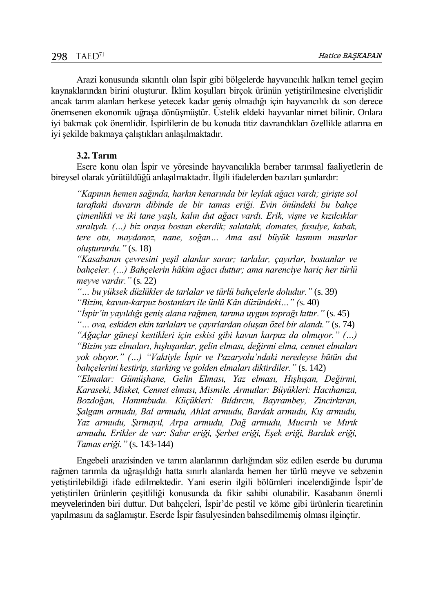Arazi konusunda sıkıntılı olan İspir gibi bölgelerde hayvancılık halkın temel geçim kaynaklarından birini oluşturur. İklim koşulları birçok ürünün yetiştirilmesine elverişlidir ancak tarım alanları herkese yetecek kadar geniş olmadığı için hayvancılık da son derece önemsenen ekonomik uğraşa dönüşmüştür. Üstelik eldeki hayvanlar nimet bilinir. Onlara iyi bakmak çok önemlidir. İspirlilerin de bu konuda titiz davrandıkları özellikle atlarına en iyi şekilde bakmaya çalıştıkları anlaşılmaktadır.

## **3.2. Tarım**

Esere konu olan İspir ve yöresinde hayvancılıkla beraber tarımsal faaliyetlerin de bireysel olarak yürütüldüğü anlaşılmaktadır. İlgili ifadelerden bazıları şunlardır:

*"Kapının hemen sağında, harkın kenarında bir leylak ağacı vardı; girişte sol taraftaki duvarın dibinde de bir tamas eriği. Evin önündeki bu bahçe çimenlikti ve iki tane yaşlı, kalın dut ağacı vardı. Erik, vişne ve kızılcıklar sıralıydı. (…) biz oraya bostan ekerdik; salatalık, domates, fasulye, kabak, tere otu, maydanoz, nane, soğan… Ama asıl büyük kısmını mısırlar oluştururdu."* (s. 18)

*"Kasabanın çevresini yeşil alanlar sarar; tarlalar, çayırlar, bostanlar ve bahçeler. (…) Bahçelerin hâkim ağacı duttur; ama narenciye hariç her türlü meyve vardır."* (s. 22)

*"… bu yüksek düzlükler de tarlalar ve türlü bahçelerle doludur."* (s. 39) *"Bizim, kavun-karpuz bostanları ile ünlü Kân düzündeki…" (*s. 40)

*"İspir'in yayıldığı geniş alana rağmen, tarıma uygun toprağı kıttır."* (s. 45)

*"… ova, eskiden ekin tarlaları ve çayırlardan oluşan özel bir alandı."* (s. 74) *"Ağaçlar güneşi kestikleri için eskisi gibi kavun karpuz da olmuyor." (…) "Bizim yaz elmaları, hışhışanlar, gelin elması, değirmi elma, cennet elmaları yok oluyor." (…) "Vaktiyle İspir ve Pazaryolu'ndaki neredeyse bütün dut bahçelerini kestirip, starking ve golden elmaları diktirdiler."* (s. 142)

*"Elmalar: Gümüşhane, Gelin Elması, Yaz elması, Hışhışan, Değirmi, Karaseki, Misket, Cennet elması, Mismile. Armutlar: Büyükleri: Hacıhamza, Bozdoğan, Hanımbudu. Küçükleri: Bıldırcın, Bayrambey, Zincirkıran, Şalgam armudu, Bal armudu, Ahlat armudu, Bardak armudu, Kış armudu, Yaz armudu, Şırmayıl, Arpa armudu, Dağ armudu, Mucırılı ve Mırık armudu. Erikler de var: Sabır eriği, Şerbet eriği, Eşek eriği, Bardak eriği, Tamas eriği."* (s. 143-144)

Engebeli arazisinden ve tarım alanlarının darlığından söz edilen eserde bu duruma rağmen tarımla da uğraşıldığı hatta sınırlı alanlarda hemen her türlü meyve ve sebzenin yetiştirilebildiği ifade edilmektedir. Yani eserin ilgili bölümleri incelendiğinde İspir'de yetiştirilen ürünlerin çeşitliliği konusunda da fikir sahibi olunabilir. Kasabanın önemli meyvelerinden biri duttur. Dut bahçeleri, İspir'de pestil ve köme gibi ürünlerin ticaretinin yapılmasını da sağlamıştır. Eserde İspir fasulyesinden bahsedilmemiş olması ilginçtir.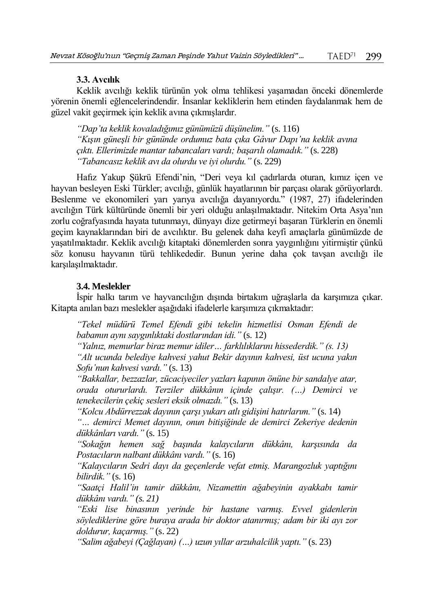#### **3.3. Avcılık**

Keklik avcılığı keklik türünün yok olma tehlikesi yaşamadan önceki dönemlerde yörenin önemli eğlencelerindendir. İnsanlar kekliklerin hem etinden faydalanmak hem de güzel vakit geçirmek için keklik avına çıkmışlardır.

*"Dap'ta keklik kovaladığımız günümüzü düşünelim."* (s. 116) *"Kışın güneşli bir gününde ordumuz bata çıka Gâvur Dapı'na keklik avına çıktı. Ellerimizde mantar tabancaları vardı; başarılı olamadık."* (s. 228) *"Tabancasız keklik avı da olurdu ve iyi olurdu."* (s. 229)

Hafız Yakup Şükrü Efendi'nin, "Deri veya kıl çadırlarda oturan, kımız içen ve hayvan besleyen Eski Türkler; avcılığı, günlük hayatlarının bir parçası olarak görüyorlardı. Beslenme ve ekonomileri yarı yarıya avcılığa dayanıyordu." (1987, 27) ifadelerinden avcılığın Türk kültüründe önemli bir yeri olduğu anlaşılmaktadır. Nitekim Orta Asya'nın zorlu coğrafyasında hayata tutunmayı, dünyayı dize getirmeyi başaran Türklerin en önemli geçim kaynaklarından biri de avcılıktır. Bu gelenek daha keyfi amaçlarla günümüzde de yaşatılmaktadır. Keklik avcılığı kitaptaki dönemlerden sonra yaygınlığını yitirmiştir çünkü söz konusu hayvanın türü tehlikededir. Bunun yerine daha çok tavşan avcılığı ile karşılaşılmaktadır.

## **3.4. Meslekler**

İspir halkı tarım ve hayvancılığın dışında birtakım uğraşlarla da karşımıza çıkar. Kitapta anılan bazı meslekler aşağıdaki ifadelerle karşımıza çıkmaktadır:

*"Tekel müdürü Temel Efendi gibi tekelin hizmetlisi Osman Efendi de babamın aynı saygınlıktaki dostlarından idi."* (s. 12)

*"Yalnız, memurlar biraz memur idiler… farklılıklarını hissederdik." (s. 13)*

*"Alt ucunda belediye kahvesi yahut Bekir dayının kahvesi, üst ucuna yakın Sofu'nun kahvesi vardı."* (s. 13)

*"Bakkallar, bezzazlar, zücaciyeciler yazları kapının önüne bir sandalye atar, orada otururlardı. Terziler dükkânın içinde çalışır. (…) Demirci ve tenekecilerin çekiç sesleri eksik olmazdı."* (s. 13)

*"Kolcu Abdürrezzak dayının çarşı yukarı atlı gidişini hatırlarım."* (s. 14)

*"… demirci Memet dayının, onun bitişiğinde de demirci Zekeriye dedenin dükkânları vardı."* (s. 15)

*"Sokağın hemen sağ başında kalaycıların dükkânı, karşısında da Postacıların nalbant dükkânı vardı."* (s. 16)

*"Kalaycıların Sedri dayı da geçenlerde vefat etmiş. Marangozluk yaptığını bilirdik."* (s. 16)

*"Saatçi Halil'in tamir dükkânı, Nizamettin ağabeyinin ayakkabı tamir dükkânı vardı." (s. 21)*

*"Eski lise binasının yerinde bir hastane varmış. Evvel gidenlerin söylediklerine göre buraya arada bir doktor atanırmış; adam bir iki ayı zor doldurur, kaçarmış."* (s. 22)

*"Salim ağabeyi (Çağlayan) (…) uzun yıllar arzuhalcilik yaptı."* (s. 23)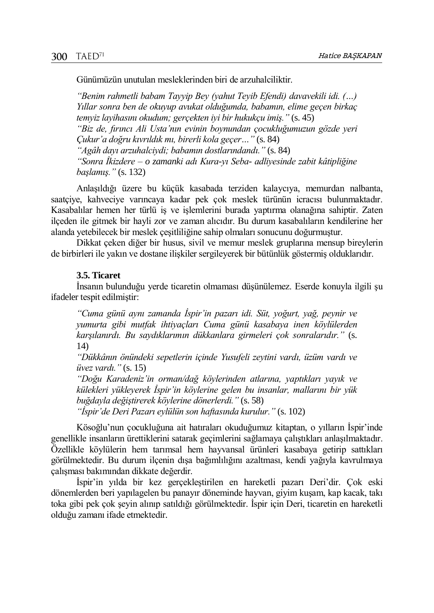Günümüzün unutulan mesleklerinden biri de arzuhalciliktir.

*"Benim rahmetli babam Tayyip Bey (yahut Teyib Efendi) davavekili idi. (…) Yıllar sonra ben de okuyup avukat olduğumda, babamın, elime geçen birkaç temyiz layihasını okudum; gerçekten iyi bir hukukçu imiş."* (s. 45) *"Biz de, fırıncı Ali Usta'nın evinin boynundan çocukluğumuzun gözde yeri Çukur'a doğru kıvrıldık mı, birerli kola geçer…"* (s. 84) *"Agâh dayı arzuhalciydi; babamın dostlarındandı."* (s. 84) *"Sonra İkizdere – o zamanki adı Kura-yı Seba- adliyesinde zabit kâtipliğine başlamış."* (s. 132)

Anlaşıldığı üzere bu küçük kasabada terziden kalaycıya, memurdan nalbanta, saatçiye, kahveciye varıncaya kadar pek çok meslek türünün icracısı bulunmaktadır. Kasabalılar hemen her türlü iş ve işlemlerini burada yaptırma olanağına sahiptir. Zaten ilçeden ile gitmek bir hayli zor ve zaman alıcıdır. Bu durum kasabalıların kendilerine her alanda yetebilecek bir meslek çeşitliliğine sahip olmaları sonucunu doğurmuştur.

Dikkat çeken diğer bir husus, sivil ve memur meslek gruplarına mensup bireylerin de birbirleri ile yakın ve dostane ilişkiler sergileyerek bir bütünlük göstermiş olduklarıdır.

#### **3.5. Ticaret**

İnsanın bulunduğu yerde ticaretin olmaması düşünülemez. Eserde konuyla ilgili şu ifadeler tespit edilmiştir:

*"Cuma günü aynı zamanda İspir'in pazarı idi. Süt, yoğurt, yağ, peynir ve yumurta gibi mutfak ihtiyaçları Cuma günü kasabaya inen köylülerden karşılanırdı. Bu saydıklarımın dükkanlara girmeleri çok sonralarıdır."* (s. 14)

*"Dükkânın önündeki sepetlerin içinde Yusufeli zeytini vardı, üzüm vardı ve üvez vardı."* (s. 15)

*"Doğu Karadeniz'in orman/dağ köylerinden atlarına, yaptıkları yayık ve külekleri yükleyerek İspir'in köylerine gelen bu insanlar, mallarını bir yük buğdayla değiştirerek köylerine dönerlerdi."* (s. 58)

*"İspir'de Deri Pazarı eylülün son haftasında kurulur."* (s. 102)

Kösoğlu'nun çocukluğuna ait hatıraları okuduğumuz kitaptan, o yılların İspir'inde genellikle insanların ürettiklerini satarak geçimlerini sağlamaya çalıştıkları anlaşılmaktadır. Özellikle köylülerin hem tarımsal hem hayvansal ürünleri kasabaya getirip sattıkları görülmektedir. Bu durum ilçenin dışa bağımlılığını azaltması, kendi yağıyla kavrulmaya çalışması bakımından dikkate değerdir.

İspir'in yılda bir kez gerçekleştirilen en hareketli pazarı Deri'dir. Çok eski dönemlerden beri yapılagelen bu panayır döneminde hayvan, giyim kuşam, kap kacak, takı toka gibi pek çok şeyin alınıp satıldığı görülmektedir. İspir için Deri, ticaretin en hareketli olduğu zamanı ifade etmektedir.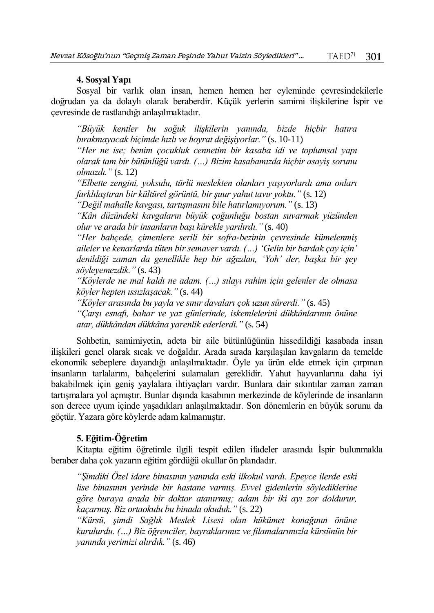## **4. Sosyal Yapı**

Sosyal bir varlık olan insan, hemen hemen her eyleminde çevresindekilerle doğrudan ya da dolaylı olarak beraberdir. Küçük yerlerin samimi ilişkilerine İspir ve çevresinde de rastlandığı anlaşılmaktadır.

*"Büyük kentler bu soğuk ilişkilerin yanında, bizde hiçbir hatıra bırakmayacak biçimde hızlı ve hoyrat değişiyorlar."* (s. 10-11)

*"Her ne ise; benim çocukluk cennetim bir kasaba idi ve toplumsal yapı olarak tam bir bütünlüğü vardı. (…) Bizim kasabamızda hiçbir asayiş sorunu olmazdı."* (s. 12)

*"Elbette zengini, yoksulu, türlü meslekten olanları yaşıyorlardı ama onları farklılaştıran bir kültürel görüntü, bir şuur yahut tavır yoktu."* (s. 12)

*"Değil mahalle kavgası, tartışmasını bile hatırlamıyorum."* (s. 13)

*"Kân düzündeki kavgaların büyük çoğunluğu bostan suvarmak yüzünden olur ve arada bir insanların başı kürekle yarılırdı."* (s. 40)

*"Her bahçede, çimenlere serili bir sofra-bezinin çevresinde kümelenmiş aileler ve kenarlarda tüten bir semaver vardı. (…) 'Gelin bir bardak çay için' denildiği zaman da genellikle hep bir ağızdan, 'Yoh' der, başka bir şey söyleyemezdik."* (s. 43)

*"Köylerde ne mal kaldı ne adam. (…) sılayı rahim için gelenler de olmasa köyler hepten ıssızlaşacak."* (s. 44)

*"Köyler arasında bu yayla ve sınır davaları çok uzun sürerdi."* (s. 45)

*"Çarşı esnafı, bahar ve yaz günlerinde, iskemlelerini dükkânlarının önüne atar, dükkândan dükkâna yarenlik ederlerdi."* (s. 54)

Sohbetin, samimiyetin, adeta bir aile bütünlüğünün hissedildiği kasabada insan ilişkileri genel olarak sıcak ve doğaldır. Arada sırada karşılaşılan kavgaların da temelde ekonomik sebeplere dayandığı anlaşılmaktadır. Öyle ya ürün elde etmek için çırpınan insanların tarlalarını, bahçelerini sulamaları gereklidir. Yahut hayvanlarına daha iyi bakabilmek için geniş yaylalara ihtiyaçları vardır. Bunlara dair sıkıntılar zaman zaman tartışmalara yol açmıştır. Bunlar dışında kasabının merkezinde de köylerinde de insanların son derece uyum içinde yaşadıkları anlaşılmaktadır. Son dönemlerin en büyük sorunu da göçtür. Yazara göre köylerde adam kalmamıştır.

# **5. Eğitim-Öğretim**

Kitapta eğitim öğretimle ilgili tespit edilen ifadeler arasında İspir bulunmakla beraber daha çok yazarın eğitim gördüğü okullar ön plandadır.

*"Şimdiki Özel idare binasının yanında eski ilkokul vardı. Epeyce ilerde eski lise binasının yerinde bir hastane varmış. Evvel gidenlerin söylediklerine göre buraya arada bir doktor atanırmış; adam bir iki ayı zor doldurur, kaçarmış. Biz ortaokulu bu binada okuduk."* (s. 22)

*"Kürsü, şimdi Sağlık Meslek Lisesi olan hükümet konağının önüne kurulurdu. (…) Biz öğrenciler, bayraklarımız ve filamalarımızla kürsünün bir yanında yerimizi alırdık."* (s. 46)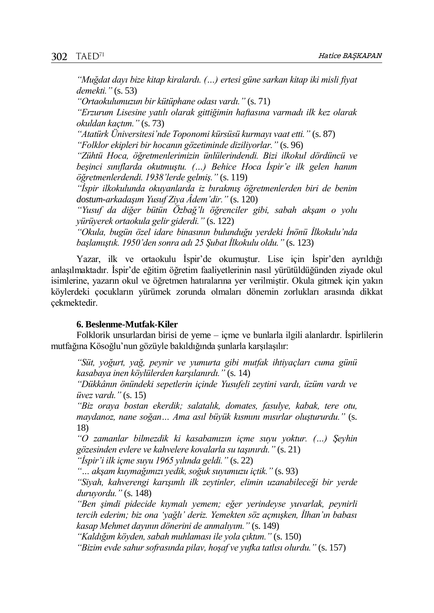*"Muğdat dayı bize kitap kiralardı. (…) ertesi güne sarkan kitap iki misli fiyat demekti."* (s. 53)

*"Ortaokulumuzun bir kütüphane odası vardı."* (s. 71)

*"Erzurum Lisesine yatılı olarak gittiğimin haftasına varmadı ilk kez olarak okuldan kaçtım."* (s. 73)

*"Atatürk Üniversitesi'nde Toponomi kürsüsü kurmayı vaat etti."* (s. 87) *"Folklor ekipleri bir hocanın gözetiminde diziliyorlar."* (s. 96)

*"Zühtü Hoca, öğretmenlerimizin ünlülerindendi. Bizi ilkokul dördüncü ve beşinci sınıflarda okutmuştu. (…) Behice Hoca İspir'e ilk gelen hanım öğretmenlerdendi. 1938'lerde gelmiş."* (s. 119)

*"İspir ilkokulunda okuyanlarda iz bırakmış öğretmenlerden biri de benim dostum-arkadaşım Yusuf Ziya Âdem'dir."* (s. 120)

*"Yusuf da diğer bütün Özbağ'lı öğrenciler gibi, sabah akşam o yolu yürüyerek ortaokula gelir giderdi."* (s. 122)

*"Okula, bugün özel idare binasının bulunduğu yerdeki İnönü İlkokulu'nda başlamıştık. 1950'den sonra adı 25 Şubat İlkokulu oldu."* (s. 123)

Yazar, ilk ve ortaokulu İspir'de okumuştur. Lise için İspir'den ayrıldığı anlaşılmaktadır. İspir'de eğitim öğretim faaliyetlerinin nasıl yürütüldüğünden ziyade okul isimlerine, yazarın okul ve öğretmen hatıralarına yer verilmiştir. Okula gitmek için yakın köylerdeki çocukların yürümek zorunda olmaları dönemin zorlukları arasında dikkat çekmektedir.

#### **6. Beslenme-Mutfak-Kiler**

Folklorik unsurlardan birisi de yeme – içme ve bunlarla ilgili alanlardır. İspirlilerin mutfağına Kösoğlu'nun gözüyle bakıldığında şunlarla karşılaşılır:

*"Süt, yoğurt, yağ, peynir ve yumurta gibi mutfak ihtiyaçları cuma günü kasabaya inen köylülerden karşılanırdı."* (s. 14)

*"Dükkânın önündeki sepetlerin içinde Yusufeli zeytini vardı, üzüm vardı ve üvez vardı."* (s. 15)

*"Biz oraya bostan ekerdik; salatalık, domates, fasulye, kabak, tere otu, maydanoz, nane soğan… Ama asıl büyük kısmını mısırlar oluştururdu."* (s. 18)

*"O zamanlar bilmezdik ki kasabamızın içme suyu yoktur. (…) Şeyhin gözesinden evlere ve kahvelere kovalarla su taşınırdı."* (s. 21)

*"İspir'i ilk içme suyu 1965 yılında geldi."* (s. 22)

*"… akşam kuymağımızı yedik, soğuk suyumuzu içtik."* (s. 93)

*"Siyah, kahverengi karışımlı ilk zeytinler, elimin uzanabileceği bir yerde duruyordu."* (s. 148)

*"Ben şimdi pidecide kıymalı yemem; eğer yerindeyse yuvarlak, peynirli tercih ederim; biz ona 'yağlı' deriz. Yemekten söz açmışken, İlhan'ın babası kasap Mehmet dayının dönerini de anmalıyım."* (s. 149)

*"Kaldığım köyden, sabah muhlaması ile yola çıktım."* (s. 150)

*"Bizim evde sahur sofrasında pilav, hoşaf ve yufka tatlısı olurdu."* (s. 157)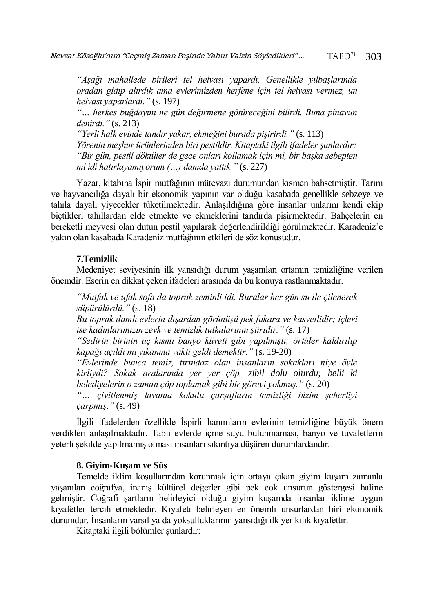*"Aşağı mahallede birileri tel helvası yapardı. Genellikle yılbaşlarında oradan gidip alırdık ama evlerimizden herfene için tel helvası vermez, un helvası yaparlardı."* (s. 197)

*"… herkes buğdayını ne gün değirmene götüreceğini bilirdi. Buna pinavun denirdi."* (s. 213)

*"Yerli halk evinde tandır yakar, ekmeğini burada pişirirdi."* (s. 113) *Yörenin meşhur ürünlerinden biri pestildir. Kitaptaki ilgili ifadeler şunlardır: "Bir gün, pestil döktüler de gece onları kollamak için mi, bir başka sebepten mi idi hatırlayamıyorum (…) damda yattık."* (s. 227)

Yazar, kitabına İspir mutfağının mütevazı durumundan kısmen bahsetmiştir. Tarım ve hayvancılığa dayalı bir ekonomik yapının var olduğu kasabada genellikle sebzeye ve tahıla dayalı yiyecekler tüketilmektedir. Anlaşıldığına göre insanlar unlarını kendi ekip biçtikleri tahıllardan elde etmekte ve ekmeklerini tandırda pişirmektedir. Bahçelerin en bereketli meyvesi olan dutun pestil yapılarak değerlendirildiği görülmektedir. Karadeniz'e yakın olan kasabada Karadeniz mutfağının etkileri de söz konusudur.

## **7.Temizlik**

Medeniyet seviyesinin ilk yansıdığı durum yaşanılan ortamın temizliğine verilen önemdir. Eserin en dikkat çeken ifadeleri arasında da bu konuya rastlanmaktadır.

*"Mutfak ve ufak sofa da toprak zeminli idi. Buralar her gün su ile çilenerek süpürülürdü."* (s. 18)

*Bu toprak damlı evlerin dışardan görünüşü pek fukara ve kasvetlidir; içleri ise kadınlarımızın zevk ve temizlik tutkularının şiiridir."* (s. 17)

*"Sedirin birinin uç kısmı banyo küveti gibi yapılmıştı; örtüler kaldırılıp kapağı açıldı mı yıkanma vakti geldi demektir."* (s. 19-20)

*"Evlerinde bunca temiz, tırındaz olan insanların sokakları niye öyle kirliydi? Sokak aralarında yer yer çöp, zibil dolu olurdu; belli ki belediyelerin o zaman çöp toplamak gibi bir görevi yokmuş."* (s. 20)

*"… çivitlenmiş lavanta kokulu çarşafların temizliği bizim şeherliyi çarpmış."* (s. 49)

İlgili ifadelerden özellikle İspirli hanımların evlerinin temizliğine büyük önem verdikleri anlaşılmaktadır. Tabii evlerde içme suyu bulunmaması, banyo ve tuvaletlerin yeterli şekilde yapılmamış olması insanları sıkıntıya düşüren durumlardandır.

#### **8. Giyim-Kuşam ve Süs**

Temelde iklim koşullarından korunmak için ortaya çıkan giyim kuşam zamanla yaşanılan coğrafya, inanış kültürel değerler gibi pek çok unsurun göstergesi haline gelmiştir. Coğrafi şartların belirleyici olduğu giyim kuşamda insanlar iklime uygun kıyafetler tercih etmektedir. Kıyafeti belirleyen en önemli unsurlardan biri ekonomik durumdur. İnsanların varsıl ya da yoksulluklarının yansıdığı ilk yer kılık kıyafettir.

Kitaptaki ilgili bölümler şunlardır: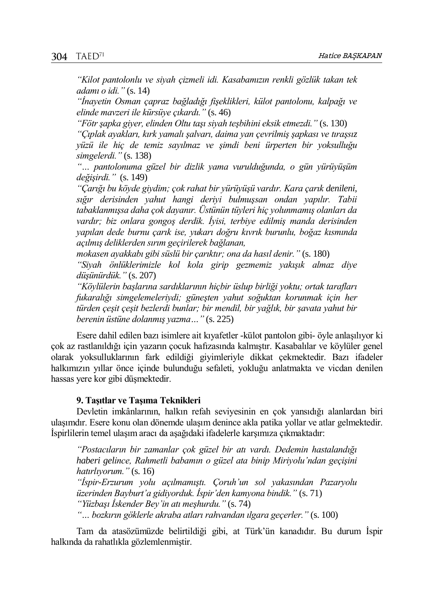*"Kilot pantolonlu ve siyah çizmeli idi. Kasabamızın renkli gözlük takan tek adamı o idi."* (s. 14)

*"İnayetin Osman çapraz bağladığı fişeklikleri, külot pantolonu, kalpağı ve elinde mavzeri ile kürsüye çıkardı."* (s. 46)

*"Fötr şapka giyer, elinden Oltu taşı siyah teşbihini eksik etmezdi."* (s. 130)

*"Çıplak ayakları, kırk yamalı şalvarı, daima yan çevrilmiş şapkası ve tıraşsız yüzü ile hiç de temiz sayılmaz ve şimdi beni ürperten bir yoksulluğu simgelerdi."* (s. 138)

*"… pantolonuma güzel bir dizlik yama vurulduğunda, o gün yürüyüşüm değişirdi."* (s. 149)

*"Çarığı bu köyde giydim; çok rahat bir yürüyüşü vardır. Kara çarık denileni, sığır derisinden yahut hangi deriyi bulmuşsan ondan yapılır. Tabii tabaklanmışsa daha çok dayanır. Üstünün tüyleri hiç yolunmamış olanları da vardır; biz onlara gongoş derdik. İyisi, terbiye edilmiş manda derisinden yapılan dede burnu çarık ise, yukarı doğru kıvrık burunlu, boğaz kısmında açılmış deliklerden sırım geçirilerek bağlanan,*

*mokasen ayakkabı gibi süslü bir çarıktır; ona da hasıl denir."* (s. 180)

*"Siyah önlüklerimizle kol kola girip gezmemiz yakışık almaz diye düşünürdük."* (s. 207)

*"Köylülerin başlarına sardıklarının hiçbir üslup birliği yoktu; ortak tarafları fukaralığı simgelemeleriydi; güneşten yahut soğuktan korunmak için her türden çeşit çeşit bezlerdi bunlar; bir mendil, bir yağlık, bir şavata yahut bir berenin üstüne dolanmış yazma…"* (s. 225)

Esere dahil edilen bazı isimlere ait kıyafetler -külot pantolon gibi- öyle anlaşılıyor ki çok az rastlanıldığı için yazarın çocuk hafızasında kalmıştır. Kasabalılar ve köylüler genel olarak yoksulluklarının fark edildiği giyimleriyle dikkat çekmektedir. Bazı ifadeler halkımızın yıllar önce içinde bulunduğu sefaleti, yokluğu anlatmakta ve vicdan denilen hassas yere kor gibi düşmektedir.

#### **9. Taşıtlar ve Taşıma Teknikleri**

Devletin imkânlarının, halkın refah seviyesinin en çok yansıdığı alanlardan biri ulaşımdır. Esere konu olan dönemde ulaşım denince akla patika yollar ve atlar gelmektedir. İspirlilerin temel ulaşım aracı da aşağıdaki ifadelerle karşımıza çıkmaktadır:

*"Postacıların bir zamanlar çok güzel bir atı vardı. Dedemin hastalandığı haberi gelince, Rahmetli babamın o güzel ata binip Miriyolu'ndan geçişini hatırlıyorum."* (s. 16)

*"İspir-Erzurum yolu açılmamıştı. Çoruh'un sol yakasından Pazaryolu üzerinden Bayburt'a gidiyorduk. İspir'den kamyona bindik."* (s. 71) *"Yüzbaşı İskender Bey'in atı meşhurdu."* (s. 74)

*"… bozkırın göklerle akraba atları rahvandan ılgara geçerler."* (s. 100)

Tam da atasözümüzde belirtildiği gibi, at Türk'ün kanadıdır. Bu durum İspir halkında da rahatlıkla gözlemlenmiştir.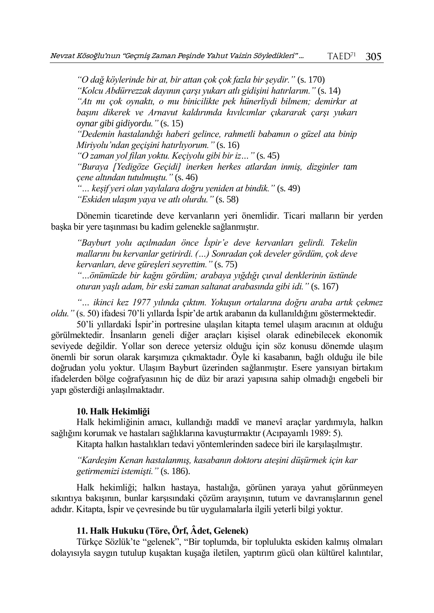*"O dağ köylerinde bir at, bir attan çok çok fazla bir şeydir."* (s. 170)

*"Kolcu Abdürrezzak dayının çarşı yukarı atlı gidişini hatırlarım."* (s. 14)

*"Atı mı çok oynaktı, o mu binicilikte pek hünerliydi bilmem; demirkır at başını dikerek ve Arnavut kaldırımda kıvılcımlar çıkararak çarşı yukarı oynar gibi gidiyordu."* (s. 15)

*"Dedemin hastalandığı haberi gelince, rahmetli babamın o güzel ata binip Miriyolu'ndan geçişini hatırlıyorum."* (s. 16)

*"O zaman yol filan yoktu. Keçiyolu gibi bir iz…"* (s. 45)

*"Buraya [Yedigöze Geçidi] inerken herkes atlardan inmiş, dizginler tam çene altından tutulmuştu."* (s. 46)

*"… keşif yeri olan yaylalara doğru yeniden at bindik."* (s. 49) *"Eskiden ulaşım yaya ve atlı olurdu."* (s. 58)

Dönemin ticaretinde deve kervanların yeri önemlidir. Ticari malların bir yerden başka bir yere taşınması bu kadim gelenekle sağlanmıştır.

*"Bayburt yolu açılmadan önce İspir'e deve kervanları gelirdi. Tekelin mallarını bu kervanlar getirirdi. (…) Sonradan çok develer gördüm, çok deve kervanları, deve güreşleri seyrettim."* (s. 75)

*"…önümüzde bir kağnı gördüm; arabaya yığdığı çuval denklerinin üstünde oturan yaşlı adam, bir eski zaman saltanat arabasında gibi idi."* (s. 167)

*"… ikinci kez 1977 yılında çıktım. Yokuşun ortalarına doğru araba artık çekmez oldu."* (s. 50) ifadesi 70'li yıllarda İspir'de artık arabanın da kullanıldığını göstermektedir.

50'li yıllardaki İspir'in portresine ulaşılan kitapta temel ulaşım aracının at olduğu görülmektedir. İnsanların geneli diğer araçları kişisel olarak edinebilecek ekonomik seviyede değildir. Yollar son derece yetersiz olduğu için söz konusu dönemde ulaşım önemli bir sorun olarak karşımıza çıkmaktadır. Öyle ki kasabanın, bağlı olduğu ile bile doğrudan yolu yoktur. Ulaşım Bayburt üzerinden sağlanmıştır. Esere yansıyan birtakım ifadelerden bölge coğrafyasının hiç de düz bir arazi yapısına sahip olmadığı engebeli bir yapı gösterdiği anlaşılmaktadır.

#### **10. Halk Hekimliği**

Halk hekimliğinin amacı, kullandığı maddî ve manevî araçlar yardımıyla, halkın sağlığını korumak ve hastaları sağlıklarına kavuşturmaktır (Acıpayamlı 1989: 5).

Kitapta halkın hastalıkları tedavi yöntemlerinden sadece biri ile karşılaşılmıştır.

*"Kardeşim Kenan hastalanmış, kasabanın doktoru ateşini düşürmek için kar getirmemizi istemişti."* (s. 186).

Halk hekimliği; halkın hastaya, hastalığa, görünen yaraya yahut görünmeyen sıkıntıya bakışının, bunlar karşısındaki çözüm arayışının, tutum ve davranışlarının genel adıdır. Kitapta, İspir ve çevresinde bu tür uygulamalarla ilgili yeterli bilgi yoktur.

#### **11. Halk Hukuku (Töre, Örf, Âdet, Gelenek)**

Türkçe Sözlük'te "gelenek", "Bir toplumda, bir toplulukta eskiden kalmış olmaları dolayısıyla saygın tutulup kuşaktan kuşağa iletilen, yaptırım gücü olan kültürel kalıntılar,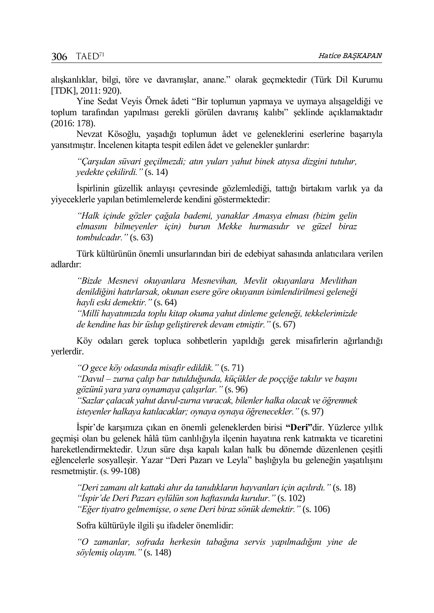alışkanlıklar, bilgi, töre ve davranışlar, anane." olarak geçmektedir (Türk Dil Kurumu [TDK], 2011: 920).

Yine Sedat Veyis Örnek âdeti "Bir toplumun yapmaya ve uymaya alışageldiği ve toplum tarafından yapılması gerekli görülen davranış kalıbı" şeklinde açıklamaktadır (2016: 178).

Nevzat Kösoğlu, yaşadığı toplumun âdet ve geleneklerini eserlerine başarıyla yansıtmıştır. İncelenen kitapta tespit edilen âdet ve gelenekler şunlardır:

*"Çarşıdan süvari geçilmezdi; atın yuları yahut binek atıysa dizgini tutulur, yedekte çekilirdi."* (s. 14)

İspirlinin güzellik anlayışı çevresinde gözlemlediği, tattığı birtakım varlık ya da yiyeceklerle yapılan betimlemelerde kendini göstermektedir:

*"Halk içinde gözler çağala bademi, yanaklar Amasya elması (bizim gelin elmasını bilmeyenler için) burun Mekke hurmasıdır ve güzel biraz tombulcadır."* (s. 63)

Türk kültürünün önemli unsurlarından biri de edebiyat sahasında anlatıcılara verilen adlardır:

*"Bizde Mesnevi okuyanlara Mesnevihan, Mevlit okuyanlara Mevlithan denildiğini hatırlarsak, okunan esere göre okuyanın isimlendirilmesi geleneği hayli eski demektir."* (s. 64)

*"Millî hayatımızda toplu kitap okuma yahut dinleme geleneği, tekkelerimizde de kendine has bir üslup geliştirerek devam etmiştir."* (s. 67)

Köy odaları gerek topluca sohbetlerin yapıldığı gerek misafirlerin ağırlandığı yerlerdir.

*"O gece köy odasında misafir edildik."* (s. 71)

*"Davul – zurna çalıp bar tutulduğunda, küçükler de poççiğe takılır ve başını gözünü yara yara oynamaya çalışırlar."* (s. 96)

*"Sazlar çalacak yahut davul-zurna vuracak, bilenler halka olacak ve öğrenmek isteyenler halkaya katılacaklar; oynaya oynaya öğrenecekler."* (s. 97)

İspir'de karşımıza çıkan en önemli geleneklerden birisi **"Deri"**dir. Yüzlerce yıllık geçmişi olan bu gelenek hâlâ tüm canlılığıyla ilçenin hayatına renk katmakta ve ticaretini hareketlendirmektedir. Uzun süre dışa kapalı kalan halk bu dönemde düzenlenen çeşitli eğlencelerle sosyalleşir. Yazar "Deri Pazarı ve Leyla" başlığıyla bu geleneğin yaşatılışını resmetmiştir. (s. 99-108)

*"Deri zamanı alt kattaki ahır da tanıdıkların hayvanları için açılırdı."* (s. 18) *"İspir'de Deri Pazarı eylülün son haftasında kurulur."* (s. 102) *"Eğer tiyatro gelmemişse, o sene Deri biraz sönük demektir."* (s. 106)

Sofra kültürüyle ilgili şu ifadeler önemlidir:

*"O zamanlar, sofrada herkesin tabağına servis yapılmadığını yine de söylemiş olayım."* (s. 148)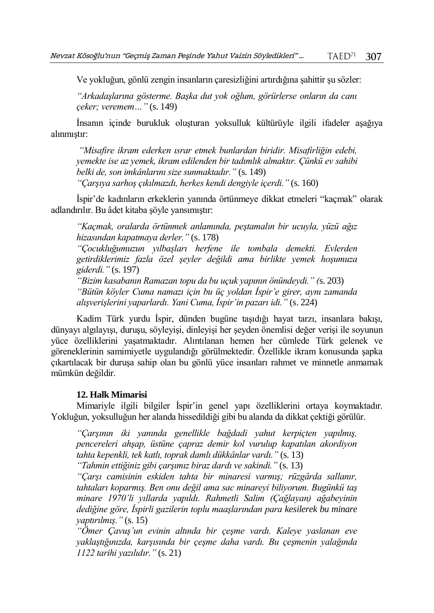Ve yokluğun, gönlü zengin insanların çaresizliğini artırdığına şahittir şu sözler:

*"Arkadaşlarına gösterme. Başka dut yok oğlum, görürlerse onların da canı çeker; veremem…"* (s. 149)

İnsanın içinde burukluk oluşturan yoksulluk kültürüyle ilgili ifadeler aşağıya alınmıştır:

*"Misafire ikram ederken ısrar etmek bunlardan biridir. Misafirliğin edebi, yemekte ise az yemek, ikram edilenden bir tadımlık almaktır. Çünkü ev sahibi belki de, son imkânlarını size sunmaktadır."* (s. 149) *"Çarşıya sarhoş çıkılmazdı, herkes kendi dengiyle içerdi."* (s. 160)

İspir'de kadınların erkeklerin yanında örtünmeye dikkat etmeleri "kaçmak" olarak adlandırılır. Bu âdet kitaba şöyle yansımıştır:

*"Kaçmak, oralarda örtünmek anlamında, peştamalın bir ucuyla, yüzü ağız hizasından kapatmaya derler."* (s. 178)

*"Çocukluğumuzun yılbaşları herfene ile tombala demekti. Evlerden getirdiklerimiz fazla özel şeyler değildi ama birlikte yemek hoşumuza giderdi."* (s. 197)

*"Bizim kasabanın Ramazan topu da bu uçuk yapının önündeydi." (*s. 203) *"Bütün köyler Cuma namazı için bu üç yoldan İspir'e girer, aynı zamanda alışverişlerini yaparlardı. Yani Cuma, İspir'in pazarı idi."* (s. 224)

Kadim Türk yurdu İspir, dünden bugüne taşıdığı hayat tarzı, insanlara bakışı, dünyayı algılayışı, duruşu, söyleyişi, dinleyişi her şeyden önemlisi değer verişi ile soyunun yüce özelliklerini yaşatmaktadır. Alıntılanan hemen her cümlede Türk gelenek ve göreneklerinin samimiyetle uygulandığı görülmektedir. Özellikle ikram konusunda şapka çıkartılacak bir duruşa sahip olan bu gönlü yüce insanları rahmet ve minnetle anmamak mümkün değildir.

#### **12. Halk Mimarisi**

Mimariyle ilgili bilgiler İspir'in genel yapı özelliklerini ortaya koymaktadır. Yokluğun, yoksulluğun her alanda hissedildiği gibi bu alanda da dikkat çektiği görülür.

*"Çarşının iki yanında genellikle bağdadi yahut kerpiçten yapılmış, pencereleri ahşap, üstüne çapraz demir kol vurulup kapatılan akordiyon tahta kepenkli, tek katlı, toprak damlı dükkânlar vardı."* (s. 13)

*"Tahmin ettiğiniz gibi çarşımız biraz dardı ve sakindi."* (s. 13)

*"Çarşı camisinin eskiden tahta bir minaresi varmış; rüzgârda sallanır, tahtaları koparmış. Ben onu değil ama sac minareyi biliyorum. Bugünkü taş minare 1970'li yıllarda yapıldı. Rahmetli Salim (Çağlayan) ağabeyinin dediğine göre, İspirli gazilerin toplu maaşlarından para kesilerek bu minare yaptırılmış."* (s. 15)

*"Ömer Çavuş'un evinin altında bir çeşme vardı. Kaleye yaslanan eve yaklaştığınızda, karşısında bir çeşme daha vardı. Bu çeşmenin yalağında 1122 tarihi yazılıdır."* (s. 21)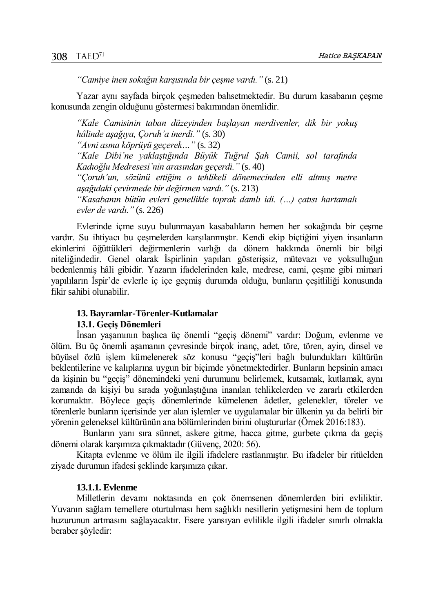*"Camiye inen sokağın karşısında bir çeşme vardı."* (s. 21)

Yazar aynı sayfada birçok çeşmeden bahsetmektedir. Bu durum kasabanın çeşme konusunda zengin olduğunu göstermesi bakımından önemlidir.

*"Kale Camisinin taban düzeyinden başlayan merdivenler, dik bir yokuş hâlinde aşağıya, Çoruh'a inerdi."* (s. 30) *"Avni asma köprüyü geçerek…"* (s. 32)

*"Kale Dibi'ne yaklaştığında Büyük Tuğrul Şah Camii, sol tarafında Kadıoğlu Medresesi'nin arasından geçerdi."* (s. 40)

*"Çoruh'un, sözünü ettiğim o tehlikeli dönemecinden elli altmış metre aşağıdaki çevirmede bir değirmen vardı."* (s. 213)

*"Kasabanın bütün evleri genellikle toprak damlı idi. (…) çatısı hartamalı evler de vardı."* (s. 226)

Evlerinde içme suyu bulunmayan kasabalıların hemen her sokağında bir çeşme vardır. Su ihtiyacı bu çeşmelerden karşılanmıştır. Kendi ekip biçtiğini yiyen insanların ekinlerini öğüttükleri değirmenlerin varlığı da dönem hakkında önemli bir bilgi niteliğindedir. Genel olarak İspirlinin yapıları gösterişsiz, mütevazı ve yoksulluğun bedenlenmiş hâli gibidir. Yazarın ifadelerinden kale, medrese, cami, çeşme gibi mimari yapılıların İspir'de evlerle iç içe geçmiş durumda olduğu, bunların çeşitliliği konusunda fikir sahibi olunabilir.

#### **13. Bayramlar-Törenler-Kutlamalar**

#### **13.1. Geçiş Dönemleri**

İnsan yaşamının başlıca üç önemli "geçiş dönemi" vardır: Doğum, evlenme ve ölüm. Bu üç önemli aşamanın çevresinde birçok inanç, adet, töre, tören, ayin, dinsel ve büyüsel özlü işlem kümelenerek söz konusu "geçiş"leri bağlı bulundukları kültürün beklentilerine ve kalıplarına uygun bir biçimde yönetmektedirler. Bunların hepsinin amacı da kişinin bu "geçiş" dönemindeki yeni durumunu belirlemek, kutsamak, kutlamak, aynı zamanda da kişiyi bu sırada yoğunlaştığına inanılan tehlikelerden ve zararlı etkilerden korumaktır. Böylece geçiş dönemlerinde kümelenen âdetler, gelenekler, töreler ve törenlerle bunların içerisinde yer alan işlemler ve uygulamalar bir ülkenin ya da belirli bir yörenin geleneksel kültürünün ana bölümlerinden birini oluştururlar (Örnek 2016:183).

Bunların yanı sıra sünnet, askere gitme, hacca gitme, gurbete çıkma da geçiş dönemi olarak karşımıza çıkmaktadır (Güvenç, 2020: 56).

Kitapta evlenme ve ölüm ile ilgili ifadelere rastlanmıştır. Bu ifadeler bir ritüelden ziyade durumun ifadesi şeklinde karşımıza çıkar.

#### **13.1.1. Evlenme**

Milletlerin devamı noktasında en çok önemsenen dönemlerden biri evliliktir. Yuvanın sağlam temellere oturtulması hem sağlıklı nesillerin yetişmesini hem de toplum huzurunun artmasını sağlayacaktır. Esere yansıyan evlilikle ilgili ifadeler sınırlı olmakla beraber şöyledir: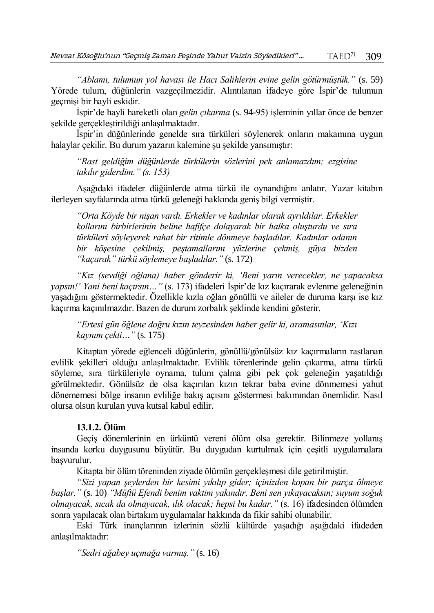*"Ablamı, tulumun yol havası ile Hacı Salihlerin evine gelin götürmüştük."* (s. 59) Yörede tulum, düğünlerin vazgeçilmezidir. Alıntılanan ifadeye göre İspir'de tulumun geçmişi bir hayli eskidir.

İspir'de hayli hareketli olan *gelin çıkarma* (s. 94-95) işleminin yıllar önce de benzer şekilde gerçekleştirildiği anlaşılmaktadır.

İspir'in düğünlerinde genelde sıra türküleri söylenerek onların makamına uygun halaylar çekilir. Bu durum yazarın kalemine şu şekilde yansımıştır:

*"Rast geldiğim düğünlerde türkülerin sözlerini pek anlamazdım; ezgisine takılır giderdim." (s. 153)*

Aşağıdaki ifadeler düğünlerde atma türkü ile oynandığını anlatır. Yazar kitabın ilerleyen sayfalarında atma türkü geleneği hakkında geniş bilgi vermiştir.

*"Orta Köyde bir nişan vardı. Erkekler ve kadınlar olarak ayrıldılar. Erkekler kollarını birbirlerinin beline hafifçe dolayarak bir halka oluşturdu ve sıra türküleri söyleyerek rahat bir ritimle dönmeye başladılar. Kadınlar odanın bir köşesine çekilmiş, peştamallarını yüzlerine çekmiş, güya bizden "kaçarak" türkü söylemeye başladılar."* (s. 172)

*"Kız (sevdiği oğlana) haber gönderir ki, 'Beni yarın verecekler, ne yapacaksa yapsın!' Yani beni kaçırsın…"* (s. 173) ifadeleri İspir'de kız kaçırarak evlenme geleneğinin yaşadığını göstermektedir. Özellikle kızla oğlan gönüllü ve aileler de duruma karşı ise kız kaçırma kaçınılmazdır. Bazen de durum zorbalık şeklinde kendini gösterir.

*"Ertesi gün öğlene doğru kızın teyzesinden haber gelir ki, aramasınlar, 'Kızı kaynım çekti…"* (s. 175)

Kitaptan yörede eğlenceli düğünlerin, gönüllü/gönülsüz kız kaçırmaların rastlanan evlilik şekilleri olduğu anlaşılmaktadır. Evlilik törenlerinde gelin çıkarma, atma türkü söyleme, sıra türküleriyle oynama, tulum çalma gibi pek çok geleneğin yaşatıldığı görülmektedir. Gönülsüz de olsa kaçırılan kızın tekrar baba evine dönmemesi yahut dönememesi bölge insanın evliliğe bakış açısını göstermesi bakımından önemlidir. Nasıl olursa olsun kurulan yuva kutsal kabul edilir.

## **13.1.2. Ölüm**

Geçiş dönemlerinin en ürküntü vereni ölüm olsa gerektir. Bilinmeze yollanış insanda korku duygusunu büyütür. Bu duygudan kurtulmak için çeşitli uygulamalara başvurulur.

Kitapta bir ölüm töreninden ziyade ölümün gerçekleşmesi dile getirilmiştir.

*"Sizi yapan şeylerden bir kesimi yıkılıp gider; içinizden kopan bir parça ölmeye başlar."* (s. 10) *"Müftü Efendi benim vaktim yakındır. Beni sen yıkayacaksın; suyum soğuk olmayacak, sıcak da olmayacak, ılık olacak; hepsi bu kadar."* (s. 16) ifadesinden ölümden sonra yapılacak olan birtakım uygulamalar hakkında da fikir sahibi olunabilir.

Eski Türk inançlarının izlerinin sözlü kültürde yaşadığı aşağıdaki ifadeden anlaşılmaktadır:

*"Sedri ağabey uçmağa varmış."* (s. 16)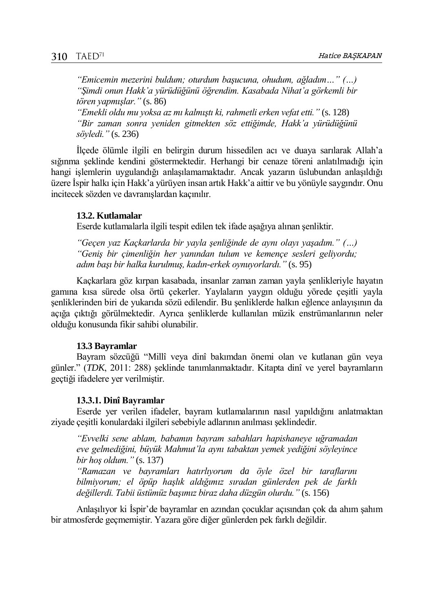*"Emicemin mezerini buldum; oturdum başucuna, ohudum, ağladım…" (…) "Şimdi onun Hakk'a yürüdüğünü öğrendim. Kasabada Nihat'a görkemli bir tören yapmışlar."* (s. 86) *"Emekli oldu mu yoksa az mı kalmıştı ki, rahmetli erken vefat etti."* (s. 128)

*"Bir zaman sonra yeniden gitmekten söz ettiğimde, Hakk'a yürüdüğünü söyledi."* (s. 236)

İlçede ölümle ilgili en belirgin durum hissedilen acı ve duaya sarılarak Allah'a sığınma şeklinde kendini göstermektedir. Herhangi bir cenaze töreni anlatılmadığı için hangi işlemlerin uygulandığı anlaşılamamaktadır. Ancak yazarın üslubundan anlaşıldığı üzere İspir halkı için Hakk'a yürüyen insan artık Hakk'a aittir ve bu yönüyle saygındır. Onu incitecek sözden ve davranışlardan kaçınılır.

#### **13.2. Kutlamalar**

Eserde kutlamalarla ilgili tespit edilen tek ifade aşağıya alınan şenliktir.

*"Geçen yaz Kaçkarlarda bir yayla şenliğinde de aynı olayı yaşadım." (…) "Geniş bir çimenliğin her yanından tulum ve kemençe sesleri geliyordu; adım başı bir halka kurulmuş, kadın-erkek oynuyorlardı."* (s. 95)

Kaçkarlara göz kırpan kasabada, insanlar zaman zaman yayla şenlikleriyle hayatın gamına kısa sürede olsa örtü çekerler. Yaylaların yaygın olduğu yörede çeşitli yayla şenliklerinden biri de yukarıda sözü edilendir. Bu şenliklerde halkın eğlence anlayışının da açığa çıktığı görülmektedir. Ayrıca şenliklerde kullanılan müzik enstrümanlarının neler olduğu konusunda fikir sahibi olunabilir.

## **13.3 Bayramlar**

Bayram sözcüğü "Millî veya dinî bakımdan önemi olan ve kutlanan gün veya günler." (*TDK*, 2011: 288) şeklinde tanımlanmaktadır. Kitapta dinî ve yerel bayramların geçtiği ifadelere yer verilmiştir.

#### **13.3.1. Dinî Bayramlar**

Eserde yer verilen ifadeler, bayram kutlamalarının nasıl yapıldığını anlatmaktan ziyade çeşitli konulardaki ilgileri sebebiyle adlarının anılması şeklindedir.

*"Evvelki sene ablam, babamın bayram sabahları hapishaneye uğramadan eve gelmediğini, büyük Mahmut'la aynı tabaktan yemek yediğini söyleyince bir hoş oldum."* (s. 137)

*"Ramazan ve bayramları hatırlıyorum da öyle özel bir taraflarını bilmiyorum; el öpüp haşlık aldığımız sıradan günlerden pek de farklı değillerdi. Tabii üstümüz başımız biraz daha düzgün olurdu."* (s. 156)

Anlaşılıyor ki İspir'de bayramlar en azından çocuklar açısından çok da ahım şahım bir atmosferde geçmemiştir. Yazara göre diğer günlerden pek farklı değildir.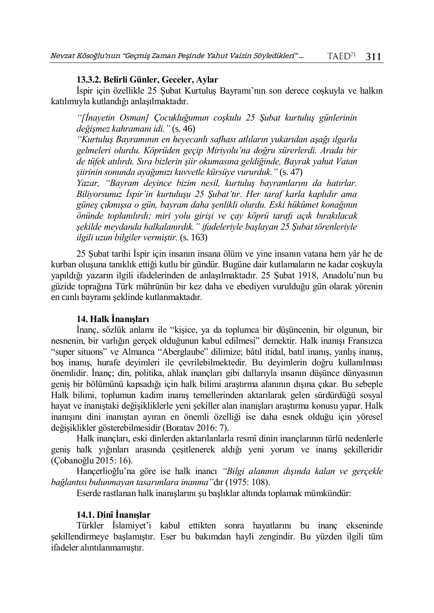#### **13.3.2. Belirli Günler, Geceler, Aylar**

İspir için özellikle 25 Şubat Kurtuluş Bayramı'nın son derece coşkuyla ve halkın katılımıyla kutlandığı anlaşılmaktadır.

*"[İnayetin Osman] Çocukluğumun coşkulu 25 Şubat kurtuluş günlerinin değişmez kahramanı idi."* (s. 46)

*"Kurtuluş Bayramının en heyecanlı safhası atlıların yukarıdan aşağı ılgarla gelmeleri olurdu. Köprüden geçip Miriyolu'na doğru sürerlerdi. Arada bir de tüfek atılırdı. Sıra bizlerin şiir okumasına geldiğinde, Bayrak yahut Vatan şiirinin sonunda ayağımızı kuvvetle kürsüye vururduk."* (s. 47)

*Yazar, "Bayram deyince bizim nesil, kurtuluş bayramlarını da hatırlar. Biliyorsunuz İspir'in kurtuluşu 25 Şubat'tır. Her taraf karla kaplıdır ama güneş çıkmışsa o gün, bayram daha şenlikli olurdu. Eski hükûmet konağının önünde toplanılırdı; miri yolu girişi ve çay köprü tarafı açık bırakılacak şekilde meydanda halkalanırdık." ifadeleriyle başlayan 25 Şubat törenleriyle ilgili uzun bilgiler vermiştir.* (s. 163)

25 Şubat tarihi İspir için insanın insana ölüm ve yine insanın vatana hem yâr he de kurban oluşuna tanıklık ettiği kutlu bir gündür. Bugüne dair kutlamaların ne kadar coşkuyla yapıldığı yazarın ilgili ifadelerinden de anlaşılmaktadır. 25 Şubat 1918, Anadolu'nun bu güzide toprağına Türk mührünün bir kez daha ve ebediyen vurulduğu gün olarak yörenin en canlı bayramı şeklinde kutlanmaktadır.

#### **14. Halk İnanışları**

İnanç, sözlük anlamı ile "kişice, ya da toplumca bir düşüncenin, bir olgunun, bir nesnenin, bir varlığın gerçek olduğunun kabul edilmesi" demektir. Halk inanışı Fransızca "super situons" ve Almanca "Aberglaube" dilimize; bâtıl itidal, batıl inanış, yanlış inanış, boş inanış, hurafe deyimleri ile çevrilebilmektedir. Bu deyimlerin doğru kullanılması önemlidir. İnanç; din, politika, ahlak inançları gibi dallarıyla insanın düşünce dünyasının geniş bir bölümünü kapsadığı için halk bilimi araştırma alanının dışına çıkar. Bu sebeple Halk bilimi, toplumun kadim inanış temellerinden aktarılarak gelen sürdürdüğü sosyal hayat ve inanıştaki değişikliklerle yeni şekiller alan inanışları araştırma konusu yapar. Halk inanışını dini inanıştan ayıran en önemli özelliği ise daha esnek olduğu için yöresel değişiklikler gösterebilmesidir (Boratav 2016: 7).

Halk inançları, eski dinlerden aktarılanlarla resmî dinin inançlarının türlü nedenlerle geniş halk yığınları arasında çeşitlenerek aldığı yeni yorum ve inanış şekilleridir (Çobanoğlu 2015: 16).

Hançerlioğlu'na göre ise halk inancı *"Bilgi alanının dışında kalan ve gerçekle bağlantısı bulunmayan tasarımlara inanma"*dır (1975: 108).

Eserde rastlanan halk inanışlarını şu başlıklar altında toplamak mümkündür:

## **14.1. Dinî İnanışlar**

Türkler İslamiyet'i kabul ettikten sonra hayatlarını bu inanç ekseninde şekillendirmeye başlamıştır. Eser bu bakımdan hayli zengindir. Bu yüzden ilgili tüm ifadeler alıntılanmamıştır.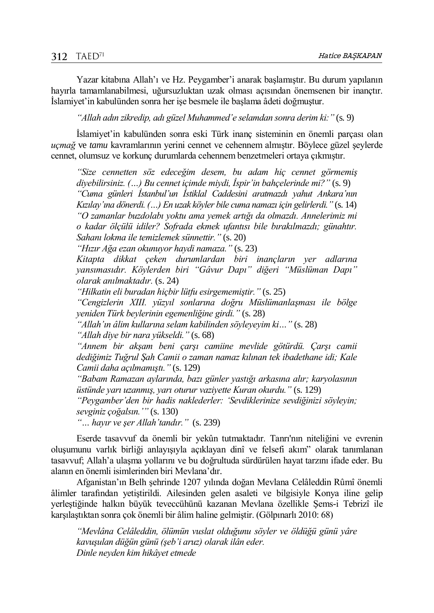Yazar kitabına Allah'ı ve Hz. Peygamber'i anarak başlamıştır. Bu durum yapılanın hayırla tamamlanabilmesi, uğursuzluktan uzak olması açısından önemsenen bir inançtır. İslamiyet'in kabulünden sonra her işe besmele ile başlama âdeti doğmuştur.

*"Allah adın zikredip, adı güzel Muhammed'e selamdan sonra derim ki:"* (s. 9)

İslamiyet'in kabulünden sonra eski Türk inanç sisteminin en önemli parçası olan *uçmağ* ve *tamu* kavramlarının yerini cennet ve cehennem almıştır. Böylece güzel şeylerde cennet, olumsuz ve korkunç durumlarda cehennem benzetmeleri ortaya çıkmıştır.

*"Size cennetten söz edeceğim desem, bu adam hiç cennet görmemiş diyebilirsiniz. (…) Bu cennet içimde miydi, İspir'in bahçelerinde mi?"* (s. 9) *"Cuma günleri İstanbul'un İstiklal Caddesini aratmazdı yahut Ankara'nın Kızılay'ına dönerdi. (…) En uzak köyler bile cuma namazı için gelirlerdi."* (s. 14) *"O zamanlar buzdolabı yoktu ama yemek artığı da olmazdı. Annelerimiz mi o kadar ölçülü idiler? Sofrada ekmek ufantısı bile bırakılmazdı; günahtır. Sahanı lokma ile temizlemek sünnettir."* (s. 20)

*"Hızır Ağa ezan okunuyor haydi namaza."* (s. 23)

*Kitapta dikkat çeken durumlardan biri inançların yer adlarına yansımasıdır. Köylerden biri "Gâvur Dapı" diğeri "Müslüman Dapı" olarak anılmaktadır.* (s. 24)

*"Hilkatin eli buradan hiçbir lütfu esirgememiştir."* (s. 25)

*"Cengizlerin XIII. yüzyıl sonlarına doğru Müslümanlaşması ile bölge yeniden Türk beylerinin egemenliğine girdi."* (s. 28)

*"Allah'ın âlim kullarına selam kabilinden söyleyeyim ki…"* (s. 28)

*"Allah diye bir nara yükseldi."* (s. 68)

*"Annem bir akşam beni çarşı camiine mevlide götürdü. Çarşı camii dediğimiz Tuğrul Şah Camii o zaman namaz kılınan tek ibadethane idi; Kale Camii daha açılmamıştı."* (s. 129)

*"Babam Ramazan aylarında, bazı günler yastığı arkasına alır; karyolasının üstünde yarı uzanmış, yarı oturur vaziyette Kuran okurdu."* (s. 129)

*"Peygamber'den bir hadis naklederler: 'Sevdiklerinize sevdiğinizi söyleyin; sevginiz çoğalsın.'"* (s. 130)

*"… hayır ve şer Allah'tandır."* (s. 239)

Eserde tasavvuf da önemli bir yekûn tutmaktadır. Tanrı'nın niteliğini ve evrenin oluşumunu varlık birliği anlayışıyla açıklayan dinî ve felsefi akım" olarak tanımlanan tasavvuf; Allah'a ulaşma yollarını ve bu doğrultuda sürdürülen hayat tarzını ifade eder. Bu alanın en önemli isimlerinden biri Mevlana'dır.

Afganistan'ın Belh şehrinde 1207 yılında doğan Mevlana Celâleddin Rûmî önemli âlimler tarafından yetiştirildi. Ailesinden gelen asaleti ve bilgisiyle Konya iline gelip yerleştiğinde halkın büyük teveccühünü kazanan Mevlana özellikle Şems-i Tebrizî ile karşılaştıktan sonra çok önemli bir âlim haline gelmiştir. (Gölpınarlı 2010: 68)

*"Mevlâna Celâleddin, ölümün vuslat olduğunu söyler ve öldüğü günü yâre kavuşulan düğün günü (şeb'i aruz) olarak ilân eder. Dinle neyden kim hikâyet etmede*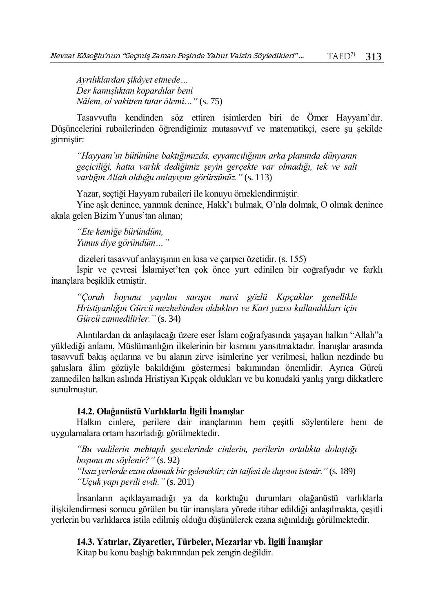*Ayrılıklardan şikâyet etmede… Der kamışlıktan kopardılar beni Nâlem, ol vakitten tutar âlemi…"* (s. 75)

Tasavvufta kendinden söz ettiren isimlerden biri de Ömer Hayyam'dır. Düşüncelerini rubailerinden öğrendiğimiz mutasavvıf ve matematikçi, esere şu şekilde girmiştir:

*"Hayyam'ın bütününe baktığımızda, eyyamcılığının arka planında dünyanın geçiciliği, hatta varlık dediğimiz şeyin gerçekte var olmadığı, tek ve salt varlığın Allah olduğu anlayışını görürsünüz."* (s. 113)

Yazar, seçtiği Hayyam rubaileri ile konuyu örneklendirmiştir.

Yine aşk denince, yanmak denince, Hakk'ı bulmak, O'nla dolmak, O olmak denince akala gelen Bizim Yunus'tan alınan;

*"Ete kemiğe büründüm, Yunus diye göründüm…"*

dizeleri tasavvuf anlayışının en kısa ve çarpıcı özetidir. (s. 155)

İspir ve çevresi İslamiyet'ten çok önce yurt edinilen bir coğrafyadır ve farklı inançlara beşiklik etmiştir.

*"Çoruh boyuna yayılan sarışın mavi gözlü Kıpçaklar genellikle Hristiyanlığın Gürcü mezhebinden oldukları ve Kart yazısı kullandıkları için Gürcü zannedilirler."* (s. 34)

Alıntılardan da anlaşılacağı üzere eser İslam coğrafyasında yaşayan halkın "Allah"a yüklediği anlamı, Müslümanlığın ilkelerinin bir kısmını yansıtmaktadır. İnanışlar arasında tasavvufî bakış açılarına ve bu alanın zirve isimlerine yer verilmesi, halkın nezdinde bu şahıslara âlim gözüyle bakıldığını göstermesi bakımından önemlidir. Ayrıca Gürcü zannedilen halkın aslında Hristiyan Kıpçak oldukları ve bu konudaki yanlış yargı dikkatlere sunulmuştur.

## **14.2. Olağanüstü Varlıklarla İlgili İnanışlar**

Halkın cinlere, perilere dair inançlarının hem çeşitli söylentilere hem de uygulamalara ortam hazırladığı görülmektedir.

*"Bu vadilerin mehtaplı gecelerinde cinlerin, perilerin ortalıkta dolaştığı boşuna mı söylenir?"* (s. 92) *"Issız yerlerde ezan okumak bir gelenektir; cin taifesi de duysun istenir."* (s. 189) *"Uçuk yapı perili evdi."* (s. 201)

İnsanların açıklayamadığı ya da korktuğu durumları olağanüstü varlıklarla ilişkilendirmesi sonucu görülen bu tür inanışlara yörede itibar edildiği anlaşılmakta, çeşitli yerlerin bu varlıklarca istila edilmiş olduğu düşünülerek ezana sığınıldığı görülmektedir.

**14.3. Yatırlar, Ziyaretler, Türbeler, Mezarlar vb. İlgili İnanışlar**

Kitap bu konu başlığı bakımından pek zengin değildir.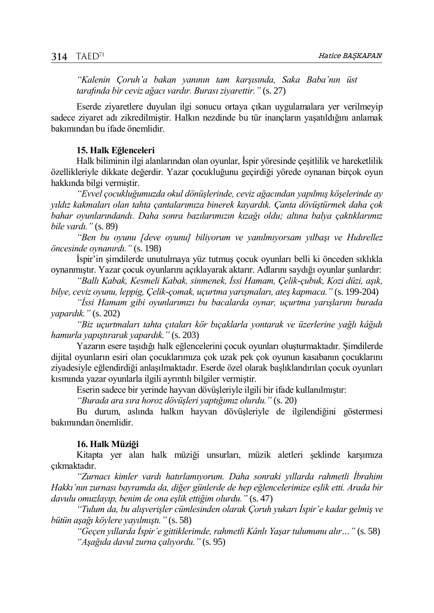*"Kalenin Çoruh'a bakan yanının tam karşısında, Saka Baba'nın üst tarafında bir ceviz ağacı vardır. Burası ziyarettir."* (s. 27)

Eserde ziyaretlere duyulan ilgi sonucu ortaya çıkan uygulamalara yer verilmeyip sadece ziyaret adı zikredilmiştir. Halkın nezdinde bu tür inançların yaşatıldığını anlamak bakımından bu ifade önemlidir.

## **15. Halk Eğlenceleri**

Halk biliminin ilgi alanlarından olan oyunlar, İspir yöresinde çeşitlilik ve hareketlilik özellikleriyle dikkate değerdir. Yazar çocukluğunu geçirdiği yörede oynanan birçok oyun hakkında bilgi vermiştir.

*"Evvel çocukluğumuzda okul dönüşlerinde, ceviz ağacından yapılmış köşelerinde ay yıldız kakmaları olan tahta çantalarımıza binerek kayardık. Çanta dövüştürmek daha çok bahar oyunlarındandı. Daha sonra bazılarımızın kızağı oldu; altına balya çaktıklarımız bile vardı."* (s. 89)

*"Ben bu oyunu [deve oyunu] biliyorum ve yanılmıyorsam yılbaşı ve Hıdırellez öncesinde oynanırdı."* (s. 198)

İspir'in şimdilerde unutulmaya yüz tutmuş çocuk oyunları belli ki önceden sıklıkla oynanmıştır. Yazar çocuk oyunlarını açıklayarak aktarır. Adlarını saydığı oyunlar şunlardır:

*"Ballı Kabak, Kesmeli Kabak, sinmenek, İssi Hamam, Çelik-çubuk, Kozi düzi, aşık, bilye, ceviz oyunu, leppig, Çelik-çomak, uçurtma yarışmaları, ateş kapmaca."* (s. 199-204)

*"İssi Hamam gibi oyunlarımızı bu bacalarda oynar, uçurtma yarışlarını burada yapardık."* (s. 202)

*"Biz uçurtmaları tahta çıtaları kör bıçaklarla yontarak ve üzerlerine yağlı kâğıdı hamurla yapıştırarak yapardık."* (s. 203)

Yazarın esere taşıdığı halk eğlencelerini çocuk oyunları oluşturmaktadır. Şimdilerde dijital oyunların esiri olan çocuklarımıza çok uzak pek çok oyunun kasabanın çocuklarını ziyadesiyle eğlendirdiği anlaşılmaktadır. Eserde özel olarak başlıklandırılan çocuk oyunları kısmında yazar oyunlarla ilgili ayrıntılı bilgiler vermiştir.

Eserin sadece bir yerinde hayvan dövüşleriyle ilgili bir ifade kullanılmıştır:

*"Burada ara sıra horoz dövüşleri yaptığımız olurdu."* (s. 20)

Bu durum, aslında halkın hayvan dövüşleriyle de ilgilendiğini göstermesi bakımından önemlidir.

#### **16. Halk Müziği**

Kitapta yer alan halk müziği unsurları, müzik aletleri şeklinde karşımıza çıkmaktadır.

*"Zurnacı kimler vardı hatırlamıyorum. Daha sonraki yıllarda rahmetli İbrahim Hakkı'nın zurnası bayramda da, diğer günlerde de hep eğlencelerimize eşlik etti. Arada bir davulu omuzlayıp, benim de ona eşlik ettiğim olurdu."* (s. 47)

*"Tulum da, bu alışverişler cümlesinden olarak Çoruh yukarı İspir'e kadar gelmiş ve bütün aşağı köylere yayılmıştı."* (s. 58)

*"Geçen yıllarda İspir'e gittiklerimde, rahmetli Kânlı Yaşar tulumunu alır…"* (s. 58) *"Aşağıda davul zurna çalıyordu."* (s. 95)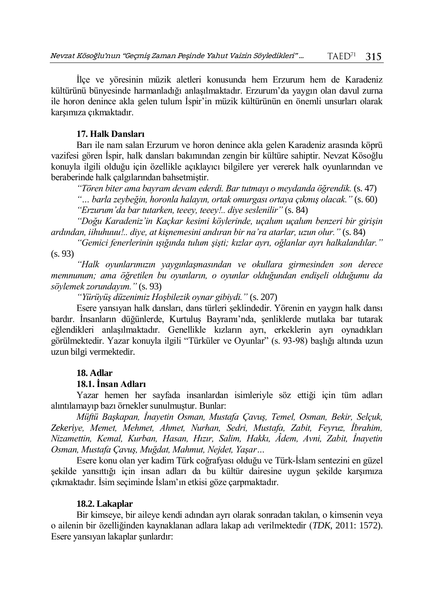İlçe ve yöresinin müzik aletleri konusunda hem Erzurum hem de Karadeniz kültürünü bünyesinde harmanladığı anlaşılmaktadır. Erzurum'da yaygın olan davul zurna ile horon denince akla gelen tulum İspir'in müzik kültürünün en önemli unsurları olarak karşımıza çıkmaktadır.

## **17. Halk Dansları**

Barı ile nam salan Erzurum ve horon denince akla gelen Karadeniz arasında köprü vazifesi gören İspir, halk dansları bakımından zengin bir kültüre sahiptir. Nevzat Kösoğlu konuyla ilgili olduğu için özellikle açıklayıcı bilgilere yer vererek halk oyunlarından ve beraberinde halk çalgılarından bahsetmiştir.

*"Tören biter ama bayram devam ederdi. Bar tutmayı o meydanda öğrendik.* (s. 47)

*"… barla zeybeğin, horonla halayın, ortak omurgası ortaya çıkmış olacak."* (s. 60) *"Erzurum'da bar tutarken, teeey, teeey!.. diye seslenilir"* (s. 84)

*"Doğu Karadeniz'in Kaçkar kesimi köylerinde, uçalum uçalum benzeri bir girişin ardından, iihuhuuu!.. diye, at kişnemesini andıran bir na'ra atarlar, uzun olur."* (s. 84)

*"Gemici fenerlerinin ışığında tulum şişti; kızlar ayrı, oğlanlar ayrı halkalandılar."* (s. 93)

*"Halk oyunlarımızın yaygınlaşmasından ve okullara girmesinden son derece memnunum; ama öğretilen bu oyunların, o oyunlar olduğundan endişeli olduğumu da söylemek zorundayım."* (s. 93)

*"Yürüyüş düzenimiz Hoşbilezik oynar gibiydi."* (s. 207)

Esere yansıyan halk dansları, dans türleri şeklindedir. Yörenin en yaygın halk dansı bardır. İnsanların düğünlerde, Kurtuluş Bayramı'nda, şenliklerde mutlaka bar tutarak eğlendikleri anlaşılmaktadır. Genellikle kızların ayrı, erkeklerin ayrı oynadıkları görülmektedir. Yazar konuyla ilgili "Türküler ve Oyunlar" (s. 93-98) başlığı altında uzun uzun bilgi vermektedir.

# **18. Adlar**

## **18.1. İnsan Adları**

Yazar hemen her sayfada insanlardan isimleriyle söz ettiği için tüm adları alıntılamayıp bazı örnekler sunulmuştur. Bunlar:

*Müftü Başkapan, İnayetin Osman, Mustafa Çavuş, Temel, Osman, Bekir, Selçuk, Zekeriye, Memet, Mehmet, Ahmet, Nurhan, Sedri, Mustafa, Zabit, Feyruz, İbrahim, Nizamettin, Kemal, Kurban, Hasan, Hızır, Salim, Hakkı, Âdem, Avni, Zabit, İnayetin Osman, Mustafa Çavuş, Muğdat, Mahmut, Nejdet, Yaşar…*

Esere konu olan yer kadim Türk coğrafyası olduğu ve Türk-İslam sentezini en güzel şekilde yansıttığı için insan adları da bu kültür dairesine uygun şekilde karşımıza çıkmaktadır. İsim seçiminde İslam'ın etkisi göze çarpmaktadır.

## **18.2. Lakaplar**

Bir kimseye, bir aileye kendi adından ayrı olarak sonradan takılan, o kimsenin veya o ailenin bir özelliğinden kaynaklanan adlara lakap adı verilmektedir (*TDK*, 2011: 1572). Esere yansıyan lakaplar şunlardır: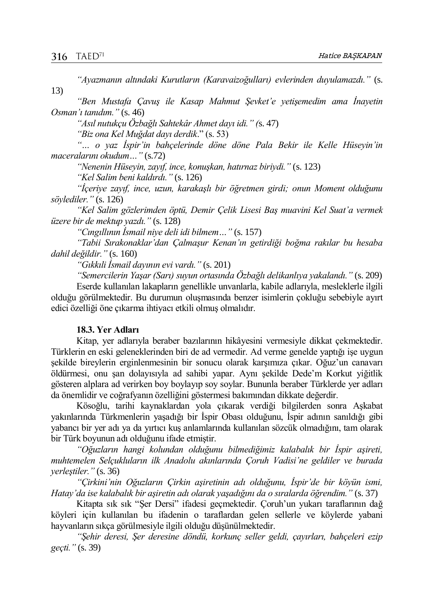13)

*"Ayazmanın altındaki Kurutların (Karavaizoğulları) evlerinden duyulamazdı."* (s.

*"Ben Mustafa Çavuş ile Kasap Mahmut Şevket'e yetişemedim ama İnayetin Osman'ı tanıdım."* (s. 46)

*"Asıl nutukçu Özbağlı Sahtekâr Ahmet dayı idi." (*s. 47)

*"Biz ona Kel Muğdat dayı derdik*." (s. 53)

*"… o yaz İspir'in bahçelerinde döne döne Pala Bekir ile Kelle Hüseyin'in maceralarını okudum…"* (s.72)

*"Nenenin Hüseyin, zayıf, ince, konuşkan, hatırnaz biriydi."* (s. 123)

*"Kel Salim beni kaldırdı."* (s. 126)

*"İçeriye zayıf, ince, uzun, karakaşlı bir öğretmen girdi; onun Moment olduğunu söylediler."* (s. 126)

*"Kel Salim gözlerimden öptü, Demir Çelik Lisesi Baş muavini Kel Suat'a vermek üzere bir de mektup yazdı."* (s. 128)

*"Cıngıllının İsmail niye deli idi bilmem…"* (s. 157)

*"Tabii Sırakonaklar'dan Çalmaşur Kenan'ın getirdiği boğma rakılar bu hesaba dahil değildir."* (s. 160)

*"Gıkkıli İsmail dayının evi vardı."* (s. 201)

*"Semercilerin Yaşar (Sarı) suyun ortasında Özbağlı delikanlıya yakalandı."* (s. 209) Eserde kullanılan lakapların genellikle unvanlarla, kabile adlarıyla, mesleklerle ilgili olduğu görülmektedir. Bu durumun oluşmasında benzer isimlerin çokluğu sebebiyle ayırt edici özelliği öne çıkarma ihtiyacı etkili olmuş olmalıdır.

## **18.3. Yer Adları**

Kitap, yer adlarıyla beraber bazılarının hikâyesini vermesiyle dikkat çekmektedir. Türklerin en eski geleneklerinden biri de ad vermedir. Ad verme genelde yaptığı işe uygun şekilde bireylerin erginlenmesinin bir sonucu olarak karşımıza çıkar. Oğuz'un canavarı öldürmesi, onu şan dolayısıyla ad sahibi yapar. Aynı şekilde Dede'm Korkut yiğitlik gösteren alplara ad verirken boy boylayıp soy soylar. Bununla beraber Türklerde yer adları da önemlidir ve coğrafyanın özelliğini göstermesi bakımından dikkate değerdir.

Kösoğlu, tarihi kaynaklardan yola çıkarak verdiği bilgilerden sonra Aşkabat yakınlarında Türkmenlerin yaşadığı bir İspir Obası olduğunu, İspir adının sanıldığı gibi yabancı bir yer adı ya da yırtıcı kuş anlamlarında kullanılan sözcük olmadığını, tam olarak bir Türk boyunun adı olduğunu ifade etmiştir.

*"Oğuzların hangi kolundan olduğunu bilmediğimiz kalabalık bir İspir aşireti, muhtemelen Selçukluların ilk Anadolu akınlarında Çoruh Vadisi'ne geldiler ve burada yerleştiler."* (s. 36)

*"Çirkini'nin Oğuzların Çirkin aşiretinin adı olduğunu, İspir'de bir köyün ismi, Hatay'da ise kalabalık bir aşiretin adı olarak yaşadığını da o sıralarda öğrendim."* (s. 37)

Kitapta sık sık "Şer Dersi" ifadesi geçmektedir. Çoruh'un yukarı taraflarının dağ köyleri için kullanılan bu ifadenin o taraflardan gelen sellerle ve köylerde yabani hayvanların sıkça görülmesiyle ilgili olduğu düşünülmektedir.

*"Şehir deresi, Şer deresine döndü, korkunç seller geldi, çayırları, bahçeleri ezip geçti."* (s. 39)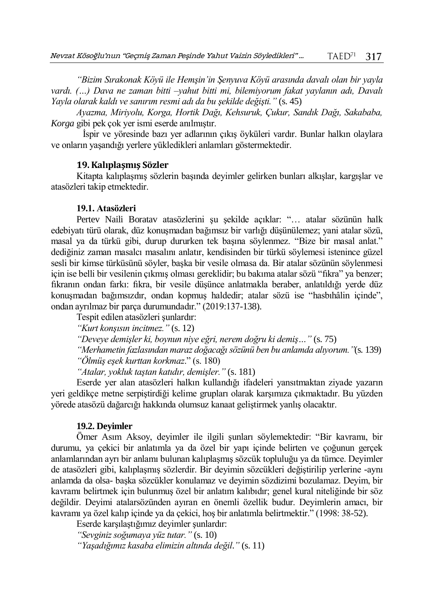*"Bizim Sırakonak Köyü ile Hemşin'in Şenyuva Köyü arasında davalı olan bir yayla vardı. (…) Dava ne zaman bitti –yahut bitti mi, bilemiyorum fakat yaylanın adı, Davalı Yayla olarak kaldı ve sanırım resmi adı da bu şekilde değişti."* (s. 45)

*Ayazma, Miriyolu, Korga, Hortik Dağı, Kehsuruk, Çukur, Sandık Dağı, Sakababa, Korga* gibi pek çok yer ismi eserde anılmıştır.

İspir ve yöresinde bazı yer adlarının çıkış öyküleri vardır. Bunlar halkın olaylara ve onların yaşandığı yerlere yükledikleri anlamları göstermektedir.

#### **19. Kalıplaşmış Sözler**

Kitapta kalıplaşmış sözlerin başında deyimler gelirken bunları alkışlar, kargışlar ve atasözleri takip etmektedir.

#### **19.1. Atasözleri**

Pertev Naili Boratav atasözlerini şu şekilde açıklar: "… atalar sözünün halk edebiyatı türü olarak, düz konuşmadan bağımsız bir varlığı düşünülemez; yani atalar sözü, masal ya da türkü gibi, durup dururken tek başına söylenmez. "Bize bir masal anlat." dediğiniz zaman masalcı masalını anlatır, kendisinden bir türkü söylemesi istenince güzel sesli bir kimse türküsünü söyler, başka bir vesile olmasa da. Bir atalar sözünün söylenmesi için ise belli bir vesilenin çıkmış olması gereklidir; bu bakıma atalar sözü "fıkra" ya benzer; fıkranın ondan farkı: fıkra, bir vesile düşünce anlatmakla beraber, anlatıldığı yerde düz konuşmadan bağımsızdır, ondan kopmuş haldedir; atalar sözü ise "hasbıhâlin içinde", ondan ayrılmaz bir parça durumundadır." (2019:137-138).

Tespit edilen atasözleri şunlardır: *"Kurt konşısın incitmez."* (s. 12) *"Deveye demişler ki, boynun niye eğri, nerem doğru ki demiş…"* (s. 75) *"Merhametin fazlasından maraz doğacağı sözünü ben bu anlamda alıyorum."*(s. 139) *"Ölmüş eşek kurttan korkmaz*." (s. 180) *"Atalar, yokluk taştan katıdır, demişler."* (s. 181)

Eserde yer alan atasözleri halkın kullandığı ifadeleri yansıtmaktan ziyade yazarın yeri geldikçe metne serpiştirdiği kelime grupları olarak karşımıza çıkmaktadır. Bu yüzden yörede atasözü dağarcığı hakkında olumsuz kanaat geliştirmek yanlış olacaktır.

#### **19.2. Deyimler**

Ömer Asım Aksoy, deyimler ile ilgili şunları söylemektedir: "Bir kavramı, bir durumu, ya çekici bir anlatımla ya da özel bir yapı içinde belirten ve çoğunun gerçek anlamlarından ayrı bir anlamı bulunan kalıplaşmış sözcük topluluğu ya da tümce. Deyimler de atasözleri gibi, kalıplaşmış sözlerdir. Bir deyimin sözcükleri değiştirilip yerlerine -aynı anlamda da olsa- başka sözcükler konulamaz ve deyimin sözdizimi bozulamaz. Deyim, bir kavramı belirtmek için bulunmuş özel bir anlatım kalıbıdır; genel kural niteliğinde bir söz değildir. Deyimi atalarsözünden ayıran en önemli özellik budur. Deyimlerin amacı, bir kavramı ya özel kalıp içinde ya da çekici, hoş bir anlatımla belirtmektir." (1998: 38-52).

Eserde karşılaştığımız deyimler şunlardır:

*"Sevginiz soğumaya yüz tutar."* (s. 10)

*"Yaşadığımız kasaba elimizin altında değil*.*"* (s. 11)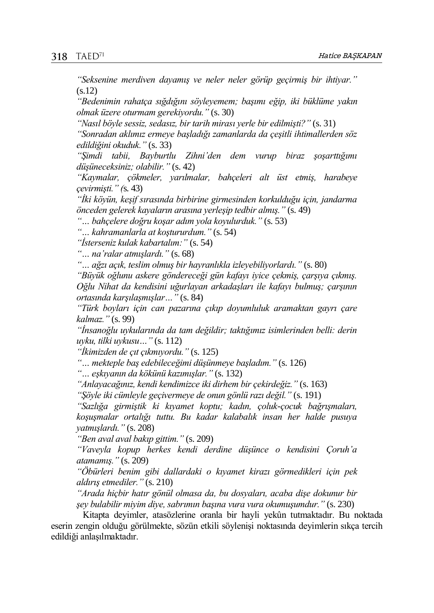*"Seksenine merdiven dayamış ve neler neler görüp geçirmiş bir ihtiyar."*  $(s.12)$ 

*"Bedenimin rahatça sığdığını söyleyemem; başımı eğip, iki büklüme yakın olmak üzere oturmam gerekiyordu."* (s. 30)

*"Nasıl böyle sessiz, sedasız, bir tarih mirası yerle bir edilmişti?"* (s. 31)

*"Sonradan aklımız ermeye başladığı zamanlarda da çeşitli ihtimallerden söz edildiğini okuduk."* (s. 33)

*"Şimdi tabii, Bayburtlu Zihni'den dem vurup biraz şoşarttığımı düşüneceksiniz; olabilir."* (s. 42)

*"Kaymalar, çökmeler, yarılmalar, bahçeleri alt üst etmiş, harabeye çevirmişti." (*s. 43)

*"İki köyün, keşif sırasında birbirine girmesinden korkulduğu için, jandarma önceden gelerek kayaların arasına yerleşip tedbir almış."* (s. 49)

*"… bahçelere doğru koşar adım yola koyulurduk."* (s. 53)

*"… kahramanlarla at koştururdum."* (s. 54)

*"İsterseniz kulak kabartalım:"* (s. 54)

*"… na'ralar atmışlardı."* (s. 68)

*"… ağzı açık, teslim olmuş bir hayranlıkla izleyebiliyorlardı."* (s. 80)

*"Büyük oğlunu askere göndereceği gün kafayı iyice çekmiş, çarşıya çıkmış. Oğlu Nihat da kendisini uğurlayan arkadaşları ile kafayı bulmuş; çarşının ortasında karşılaşmışlar…"* (s. 84)

*"Türk boyları için can pazarına çıkıp doyumluluk aramaktan gayrı çare kalmaz."* (s. 99)

*"İnsanoğlu uykularında da tam değildir; taktığımız isimlerinden belli: derin uyku, tilki uykusu…"* (s. 112)

*"İkimizden de çıt çıkmıyordu."* (s. 125)

*"… mekteple baş edebileceğimi düşünmeye başladım."* (s. 126)

*"… eşkıyanın da kökünü kazımışlar."* (s. 132)

*"Anlayacağınız, kendi kendimizce iki dirhem bir çekirdeğiz."* (s. 163)

*"Şöyle iki cümleyle geçivermeye de onun gönlü razı değil."* (s. 191)

*"Sazlığa girmiştik ki kıyamet koptu; kadın, çoluk-çocuk bağrışmaları, koşuşmalar ortalığı tuttu. Bu kadar kalabalık insan her halde pusuya yatmışlardı."* (s. 208)

*"Ben aval aval bakıp gittim."* (s. 209)

*"Vaveyla kopup herkes kendi derdine düşünce o kendisini Çoruh'a atamamış."* (s. 209)

*"Öbürleri benim gibi dallardaki o kıyamet kirazı görmedikleri için pek aldırış etmediler."* (s. 210)

*"Arada hiçbir hatır gönül olmasa da, bu dosyaları, acaba dişe dokunur bir şey bulabilir miyim diye, sabrımın başına vura vura okumuşumdur."* (s. 230)

Kitapta deyimler, atasözlerine oranla bir hayli yekûn tutmaktadır. Bu noktada eserin zengin olduğu görülmekte, sözün etkili söylenişi noktasında deyimlerin sıkça tercih edildiği anlaşılmaktadır.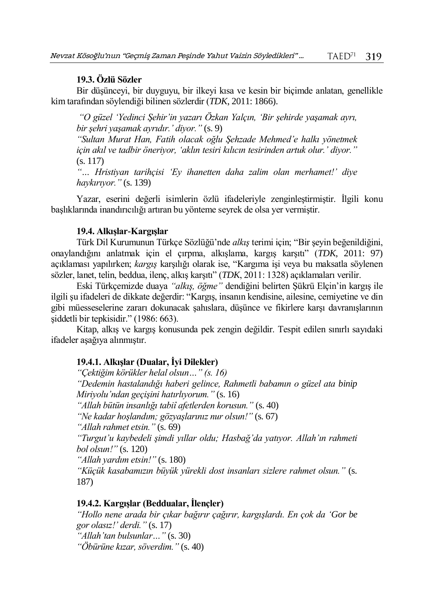#### **19.3. Özlü Sözler**

Bir düşünceyi, bir duyguyu, bir ilkeyi kısa ve kesin bir biçimde anlatan, genellikle kim tarafından söylendiği bilinen sözlerdir (*TDK*, 2011: 1866).

*"O güzel 'Yedinci Şehir'in yazarı Özkan Yalçın, 'Bir şehirde yaşamak ayrı, bir şehri yaşamak ayrıdır.' diyor."* (s. 9)

*"Sultan Murat Han, Fatih olacak oğlu Şehzade Mehmed'e halkı yönetmek için akıl ve tadbir öneriyor, 'aklın tesiri kılıcın tesirinden artuk olur.' diyor."* (s. 117)

*"… Hristiyan tarihçisi 'Ey ihanetten daha zalim olan merhamet!' diye haykırıyor."* (s. 139)

Yazar, eserini değerli isimlerin özlü ifadeleriyle zenginleştirmiştir. İlgili konu başlıklarında inandırıcılığı artıran bu yönteme seyrek de olsa yer vermiştir.

#### **19.4. Alkışlar-Kargışlar**

Türk Dil Kurumunun Türkçe Sözlüğü'nde *alkış* terimi için; "Bir şeyin beğenildiğini, onaylandığını anlatmak için el çırpma, alkışlama, kargış karşıtı" (*TDK*, 2011: 97) açıklaması yapılırken; *kargış* karşılığı olarak ise, "Kargıma işi veya bu maksatla söylenen sözler, lanet, telin, beddua, ilenç, alkış karşıtı" (*TDK*, 2011: 1328) açıklamaları verilir.

Eski Türkçemizde duaya *"alkış, öğme"* dendiğini belirten Şükrü Elçin'in kargış ile ilgili şu ifadeleri de dikkate değerdir: "Kargış, insanın kendisine, ailesine, cemiyetine ve din gibi müesseselerine zararı dokunacak şahıslara, düşünce ve fikirlere karşı davranışlarının şiddetli bir tepkisidir." (1986: 663).

Kitap, alkış ve kargış konusunda pek zengin değildir. Tespit edilen sınırlı sayıdaki ifadeler aşağıya alınmıştır.

#### **19.4.1. Alkışlar (Dualar, İyi Dilekler)**

*"Çektiğim körükler helal olsun…" (s. 16) "Dedemin hastalandığı haberi gelince, Rahmetli babamın o güzel ata binip Miriyolu'ndan geçişini hatırlıyorum."* (s. 16) *"Allah bütün insanlığı tabiî afetlerden korusun."* (s. 40) *"Ne kadar hoşlandım; gözyaşlarınız nur olsun!"* (s. 67) *"Allah rahmet etsin."* (s. 69) *"Turgut'u kaybedeli şimdi yıllar oldu; Hasbağ'da yatıyor. Allah'ın rahmeti bol olsun!"* (s. 120) *"Allah yardım etsin!"* (s. 180) *"Küçük kasabamızın büyük yürekli dost insanları sizlere rahmet olsun."* (s. 187)

#### **19.4.2. Kargışlar (Beddualar, İlençler)**

*"Hollo nene arada bir çıkar bağırır çağırır, kargışlardı. En çok da 'Gor be gor olasız!' derdi."* (s. 17) *"Allah'tan bulsunlar…"* (s. 30) *"Öbürüne kızar, söverdim."* (s. 40)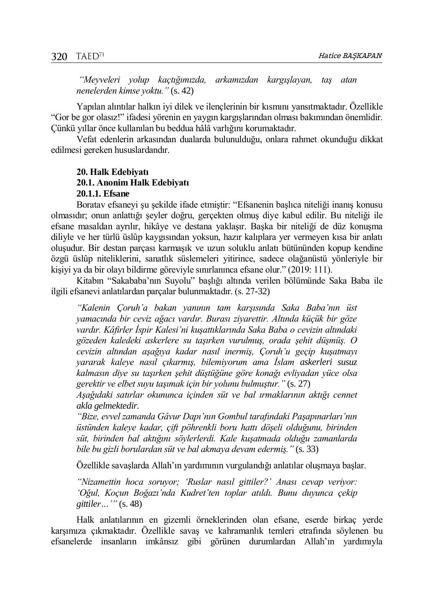*"Meyveleri yolup kaçtığımızda, arkamızdan kargışlayan, taş atan nenelerden kimse yoktu."* (s. 42)

Yapılan alıntılar halkın iyi dilek ve ilençlerinin bir kısmını yansıtmaktadır. Özellikle "Gor be gor olasız!" ifadesi yörenin en yaygın kargışlarından olması bakımından önemlidir. Çünkü yıllar önce kullanılan bu beddua hâlâ varlığını korumaktadır.

Vefat edenlerin arkasından dualarda bulunulduğu, onlara rahmet okunduğu dikkat edilmesi gereken hususlardandır.

## **20. Halk Edebiyatı 20.1. Anonim Halk Edebiyatı 20.1.1. Efsane**

Boratav efsaneyi şu şekilde ifade etmiştir: "Efsanenin başlıca niteliği inanış konusu olmasıdır; onun anlattığı şeyler doğru, gerçekten olmuş diye kabul edilir. Bu niteliği ile efsane masaldan ayrılır, hikâye ve destana yaklaşır. Başka bir niteliği de düz konuşma diliyle ve her türlü üslûp kaygısından yoksun, hazır kalıplara yer vermeyen kısa bir anlatı oluşudur. Bir destan parçası karmaşık ve uzun soluklu anlatı bütününden kopup kendine özgü üslûp niteliklerini, sanatlık süslemeleri yitirince, sadece olağanüstü yönleriyle bir kişiyi ya da bir olayı bildirme göreviyle sınırlanınca efsane olur." (2019: 111).

Kitabın "Sakababa'nın Suyolu" başlığı altında verilen bölümünde Saka Baba ile ilgili efsanevi anlatılardan parçalar bulunmaktadır. (s. 27-32)

*"Kalenin Çoruh'a bakan yanının tam karşısında Saka Baba'nın üst yamacında bir ceviz ağacı vardır. Burası ziyarettir. Altında küçük bir göze vardır. Kâfirler İspir Kalesi'ni kuşattıklarında Saka Baba o cevizin altındaki gözeden kaledeki askerlere su taşırken vurulmuş, orada şehit düşmüş. O cevizin altından aşağıya kadar nasıl inermiş, Çoruh'u geçip kuşatmayı yararak kaleye nasıl çıkarmış, bilemiyorum ama İslam askerleri susuz kalmasın diye su taşırken şehit düştüğüne göre konağı evliyadan yüce olsa gerektir ve elbet suyu taşımak için bir yolunu bulmuştur."* (s. 27)

*Aşağıdaki satırlar okununca içinden süt ve bal ırmaklarının aktığı cennet akla gelmektedir.*

*"Bize, evvel zamanda Gâvur Dapı'nın Gombul tarafındaki Paşapınarları'nın üstünden kaleye kadar, çift pöhrenkli boru hattı döşeli olduğunu, birinden süt, birinden bal aktığını söylerlerdi. Kale kuşatmada olduğu zamanlarda bile bu gizli borulardan süt ve bal akmaya devam edermiş."* (s. 33)

Özellikle savaşlarda Allah'ın yardımının vurgulandığı anlatılar oluşmaya başlar.

*"Nizamettin hoca soruyor; 'Ruslar nasıl gittiler?' Anası cevap veriyor: 'Oğul, Koçun Boğazı'nda Kudret'ten toplar atıldı. Bunu duyunca çekip gittiler…'"* (s. 48)

Halk anlatılarının en gizemli örneklerinden olan efsane, eserde birkaç yerde karşımıza çıkmaktadır. Özellikle savaş ve kahramanlık temleri etrafında söylenen bu efsanelerde insanların imkânsız gibi görünen durumlardan Allah'ın yardımıyla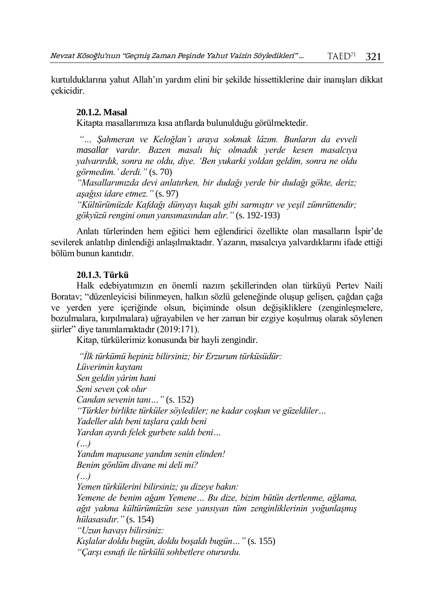kurtulduklarına yahut Allah'ın yardım elini bir şekilde hissettiklerine dair inanışları dikkat çekicidir.

# **20.1.2. Masal**

Kitapta masallarımıza kısa atıflarda bulunulduğu görülmektedir.

*"… Şahmeran ve Keloğlan'ı araya sokmak lâzım. Bunların da evveli masallar vardır. Bazen masalı hiç olmadık yerde kesen masalcıya yalvarırdık, sonra ne oldu, diye. 'Ben yukarki yoldan geldim, sonra ne oldu görmedim.' derdi."* (s. 70)

*"Masallarımızda devi anlatırken, bir dudağı yerde bir dudağı gökte, deriz; aşağısı idare etmez."* (s. 97)

*"Kültürümüzde Kafdağı dünyayı kuşak gibi sarmıştır ve yeşil zümrüttendir; gökyüzü rengini onun yansımasından alır."* (s. 192-193)

Anlatı türlerinden hem eğitici hem eğlendirici özellikte olan masalların İspir'de sevilerek anlatılıp dinlendiği anlaşılmaktadır. Yazarın, masalcıya yalvardıklarını ifade ettiği bölüm bunun kanıtıdır.

## **20.1.3. Türkü**

Halk edebiyatımızın en önemli nazım şekillerinden olan türküyü Pertev Naili Boratav; "düzenleyicisi bilinmeyen, halkın sözlü geleneğinde oluşup gelişen, çağdan çağa ve yerden yere içeriğinde olsun, biçiminde olsun değişikliklere (zenginleşmelere, bozulmalara, kırpılmalara) uğrayabilen ve her zaman bir ezgiye koşulmuş olarak söylenen şiirler" diye tanımlamaktadır (2019:171).

Kitap, türkülerimiz konusunda bir hayli zengindir.

*"İlk türkümü hepiniz bilirsiniz; bir Erzurum türküsüdür: Lüverimin kaytanı Sen geldin yârim hani Seni seven çok olur Candan sevenin tanı…"* (s. 152) *"Türkler birlikte türküler söylediler; ne kadar coşkun ve güzeldiler… Yadeller aldı beni taşlara çaldı beni Yardan ayırdı felek gurbete saldı beni… (…) Yandım mapusane yandım senin elinden! Benim gönlüm divane mi deli mi? (…) Yemen türkülerini bilirsiniz; şu dizeye bakın: Yemene de benim ağam Yemene… Bu dize, bizim bütün dertlenme, ağlama, ağıt yakma kültürümüzün sese yansıyan tüm zenginliklerinin yoğunlaşmış hülasasıdır."* (s. 154) *"Uzun havayı bilirsiniz: Kışlalar doldu bugün, doldu boşaldı bugün…"* (s. 155) *"Çarşı esnafı ile türkülü sohbetlere otururdu.*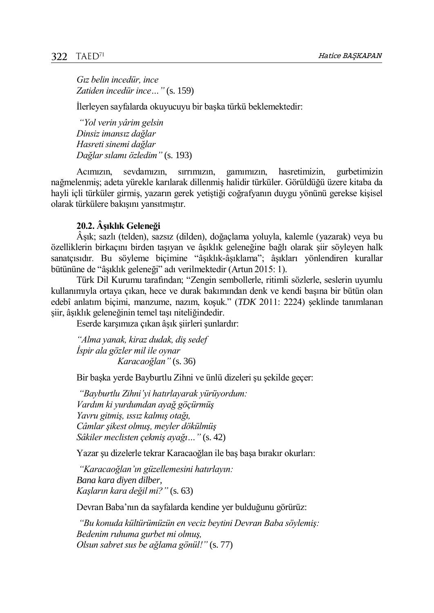*Gız belin incedür, ince Zatiden incedür ince…"* (s. 159)

İlerleyen sayfalarda okuyucuyu bir başka türkü beklemektedir:

*"Yol verin yârim gelsin Dinsiz imansız dağlar Hasreti sinemi dağlar Dağlar sılamı özledim"* (s. 193)

Acımızın, sevdamızın, sırrımızın, gamımızın, hasretimizin, gurbetimizin nağmelenmiş; adeta yürekle karılarak dillenmiş halidir türküler. Görüldüğü üzere kitaba da hayli içli türküler girmiş, yazarın gerek yetiştiği coğrafyanın duygu yönünü gerekse kişisel olarak türkülere bakışını yansıtmıştır.

## **20.2. Âşıklık Geleneği**

Âşık; sazlı (telden), sazsız (dilden), doğaçlama yoluyla, kalemle (yazarak) veya bu özelliklerin birkaçını birden taşıyan ve âşıklık geleneğine bağlı olarak şiir söyleyen halk sanatçısıdır. Bu söyleme biçimine "âşıklık-âşıklama"; âşıkları yönlendiren kurallar bütününe de "âşıklık geleneği" adı verilmektedir (Artun 2015: 1).

Türk Dil Kurumu tarafından; "Zengin sembollerle, ritimli sözlerle, seslerin uyumlu kullanımıyla ortaya çıkan, hece ve durak bakımından denk ve kendi başına bir bütün olan edebî anlatım biçimi, manzume, nazım, koşuk." (*TDK* 2011: 2224) şeklinde tanımlanan şiir, âşıklık geleneğinin temel taşı niteliğindedir.

Eserde karşımıza çıkan âşık şiirleri şunlardır:

*"Alma yanak, kiraz dudak, diş sedef İspir ala gözler mil ile oynar Karacaoğlan"* (s. 36)

Bir başka yerde Bayburtlu Zihni ve ünlü dizeleri şu şekilde geçer:

*"Bayburtlu Zihni'yi hatırlayarak yürüyordum: Vardım ki yurdumdan ayağ göçürmüş Yavru gitmiş, ıssız kalmış otağı, Câmlar şikest olmuş, meyler dökülmüş Sâkiler meclisten çekmiş ayağı…"* (s. 42)

Yazar şu dizelerle tekrar Karacaoğlan ile baş başa bırakır okurları:

*"Karacaoğlan'ın güzellemesini hatırlayın: Bana kara diyen dilber, Kaşların kara değil mi?"* (s. 63)

Devran Baba'nın da sayfalarda kendine yer bulduğunu görürüz:

*"Bu konuda kültürümüzün en veciz beytini Devran Baba söylemiş: Bedenim ruhuma gurbet mi olmuş, Olsun sabret sus be ağlama gönül!"* (s. 77)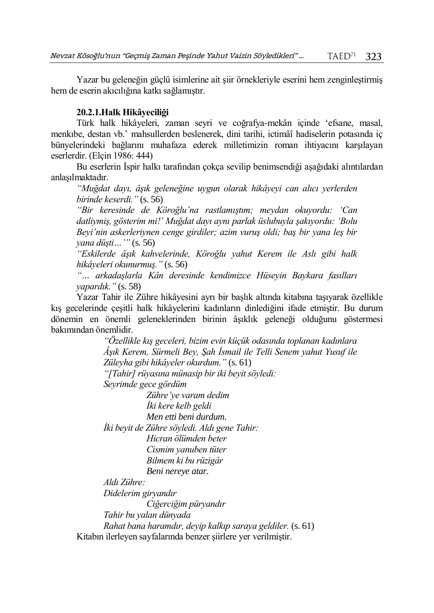Yazar bu geleneğin güçlü isimlerine ait şiir örnekleriyle eserini hem zenginleştirmiş hem de eserin akıcılığına katkı sağlamıştır.

## **20.2.1.Halk Hikâyeciliği**

Türk halk hikâyeleri, zaman seyri ve coğrafya-mekân içinde 'efsane, masal, menkıbe, destan vb.' mahsullerden beslenerek, dini tarihi, ictimâî hadiselerin potasında iç bünyelerindeki bağlarını muhafaza ederek milletimizin roman ihtiyacını karşılayan eserlerdir. (Elçin 1986: 444)

Bu eserlerin İspir halkı tarafından çokça sevilip benimsendiği aşağıdaki alıntılardan anlaşılmaktadır.

*"Muğdat dayı, âşık geleneğine uygun olarak hikâyeyi can alıcı yerlerden birinde keserdi."* (s. 56)

*"Bir keresinde de Köroğlu'na rastlamıştım; meydan okuyordu: 'Can datliymiş, gösterim mi!' Muğdat dayı aynı parlak üslubuyla şakıyordu: 'Bolu Beyi'nin askerleriynen cenge girdiler; azim vuruş oldi; baş bir yana leş bir yana düşti…'"* (s. 56)

*"Eskilerde âşık kahvelerinde, Köroğlu yahut Kerem ile Aslı gibi halk hikâyeleri okunurmuş."* (s. 56)

*"… arkadaşlarla Kân deresinde kendimizce Hüseyin Baykara fasılları yapardık."* (s. 58)

Yazar Tahir ile Zühre hikâyesini ayrı bir başlık altında kitabına taşıyarak özellikle kış gecelerinde çeşitli halk hikâyelerini kadınların dinlediğini ifade etmiştir. Bu durum dönemin en önemli geleneklerinden birinin âşıklık geleneği olduğunu göstermesi bakımından önemlidir.

> *"Özellikle kış geceleri, bizim evin küçük odasında toplanan kadınlara Âşık Kerem, Sürmeli Bey, Şah İsmail ile Telli Senem yahut Yusuf ile Züleyha gibi hikâyeler okurdum."* (s. 61)

*"[Tahir] rüyasına münasip bir iki beyit söyledi:*

*Seyrimde gece gördüm*

*Zühre'ye varam dedim İki kere kelb geldi Men etti beni durdum. İki beyit de Zühre söyledi. Aldı gene Tahir: Hicran ölümden beter Cismim yanuben tüter Bilmem ki bu rüzigâr Beni nereye atar.*

*Aldı Zühre:* 

*Didelerim giryandır*

*Ciğerciğim püryandır*

*Tahir bu yalan dünyada*

*Rahat bana haramdır, deyip kalkıp saraya geldiler.* (s. 61) Kitabın ilerleyen sayfalarında benzer şiirlere yer verilmiştir.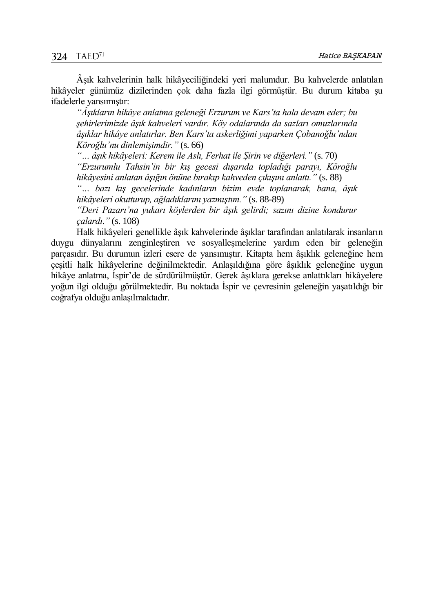Âşık kahvelerinin halk hikâyeciliğindeki yeri malumdur. Bu kahvelerde anlatılan hikâyeler günümüz dizilerinden çok daha fazla ilgi görmüştür. Bu durum kitaba şu ifadelerle yansımıştır:

*"Âşıkların hikâye anlatma geleneği Erzurum ve Kars'ta hala devam eder; bu şehirlerimizde âşık kahveleri vardır. Köy odalarında da sazları omuzlarında âşıklar hikâye anlatırlar. Ben Kars'ta askerliğimi yaparken Çobanoğlu'ndan Köroğlu'nu dinlemişimdir."* (s. 66)

*"… âşık hikâyeleri: Kerem ile Aslı, Ferhat ile Şirin ve diğerleri."* (s. 70)

*"Erzurumlu Tahsin'in bir kış gecesi dışarıda topladığı parayı, Köroğlu hikâyesini anlatan âşığın önüne bırakıp kahveden çıkışını anlattı."* (s. 88)

*"… bazı kış gecelerinde kadınların bizim evde toplanarak, bana, âşık hikâyeleri okutturup, ağladıklarını yazmıştım."* (s. 88-89)

*"Deri Pazarı'na yukarı köylerden bir âşık gelirdi; sazını dizine kondurur çalardı*.*"* (s. 108)

Halk hikâyeleri genellikle âşık kahvelerinde âşıklar tarafından anlatılarak insanların duygu dünyalarını zenginleştiren ve sosyalleşmelerine yardım eden bir geleneğin parçasıdır. Bu durumun izleri esere de yansımıştır. Kitapta hem âşıklık geleneğine hem çeşitli halk hikâyelerine değinilmektedir. Anlaşıldığına göre âşıklık geleneğine uygun hikâye anlatma, İspir'de de sürdürülmüştür. Gerek âşıklara gerekse anlattıkları hikâyelere yoğun ilgi olduğu görülmektedir. Bu noktada İspir ve çevresinin geleneğin yaşatıldığı bir coğrafya olduğu anlaşılmaktadır.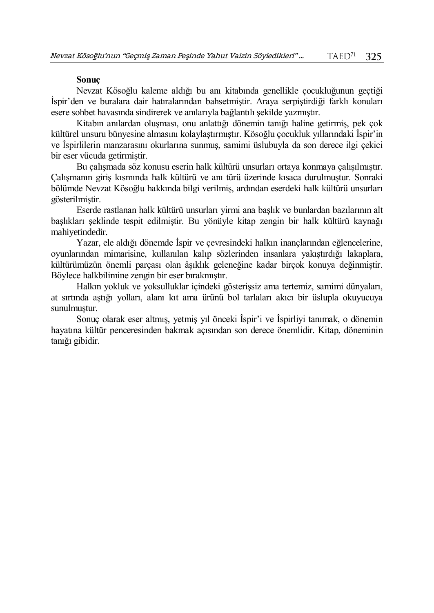#### **Sonuç**

Nevzat Kösoğlu kaleme aldığı bu anı kitabında genellikle çocukluğunun geçtiği İspir'den ve buralara dair hatıralarından bahsetmiştir. Araya serpiştirdiği farklı konuları esere sohbet havasında sindirerek ve anılarıyla bağlantılı şekilde yazmıştır.

Kitabın anılardan oluşması, onu anlattığı dönemin tanığı haline getirmiş, pek çok kültürel unsuru bünyesine almasını kolaylaştırmıştır. Kösoğlu çocukluk yıllarındaki İspir'in ve İspirlilerin manzarasını okurlarına sunmuş, samimi üslubuyla da son derece ilgi çekici bir eser vücuda getirmiştir.

Bu çalışmada söz konusu eserin halk kültürü unsurları ortaya konmaya çalışılmıştır. Çalışmanın giriş kısmında halk kültürü ve anı türü üzerinde kısaca durulmuştur. Sonraki bölümde Nevzat Kösoğlu hakkında bilgi verilmiş, ardından eserdeki halk kültürü unsurları gösterilmiştir.

Eserde rastlanan halk kültürü unsurları yirmi ana başlık ve bunlardan bazılarının alt başlıkları şeklinde tespit edilmiştir. Bu yönüyle kitap zengin bir halk kültürü kaynağı mahiyetindedir.

Yazar, ele aldığı dönemde İspir ve çevresindeki halkın inançlarından eğlencelerine, oyunlarından mimarisine, kullanılan kalıp sözlerinden insanlara yakıştırdığı lakaplara, kültürümüzün önemli parçası olan âşıklık geleneğine kadar birçok konuya değinmiştir. Böylece halkbilimine zengin bir eser bırakmıştır.

Halkın yokluk ve yoksulluklar içindeki gösterişsiz ama tertemiz, samimi dünyaları, at sırtında aştığı yolları, alanı kıt ama ürünü bol tarlaları akıcı bir üslupla okuyucuya sunulmuştur.

Sonuç olarak eser altmış, yetmiş yıl önceki İspir'i ve İspirliyi tanımak, o dönemin hayatına kültür penceresinden bakmak açısından son derece önemlidir. Kitap, döneminin tanığı gibidir.